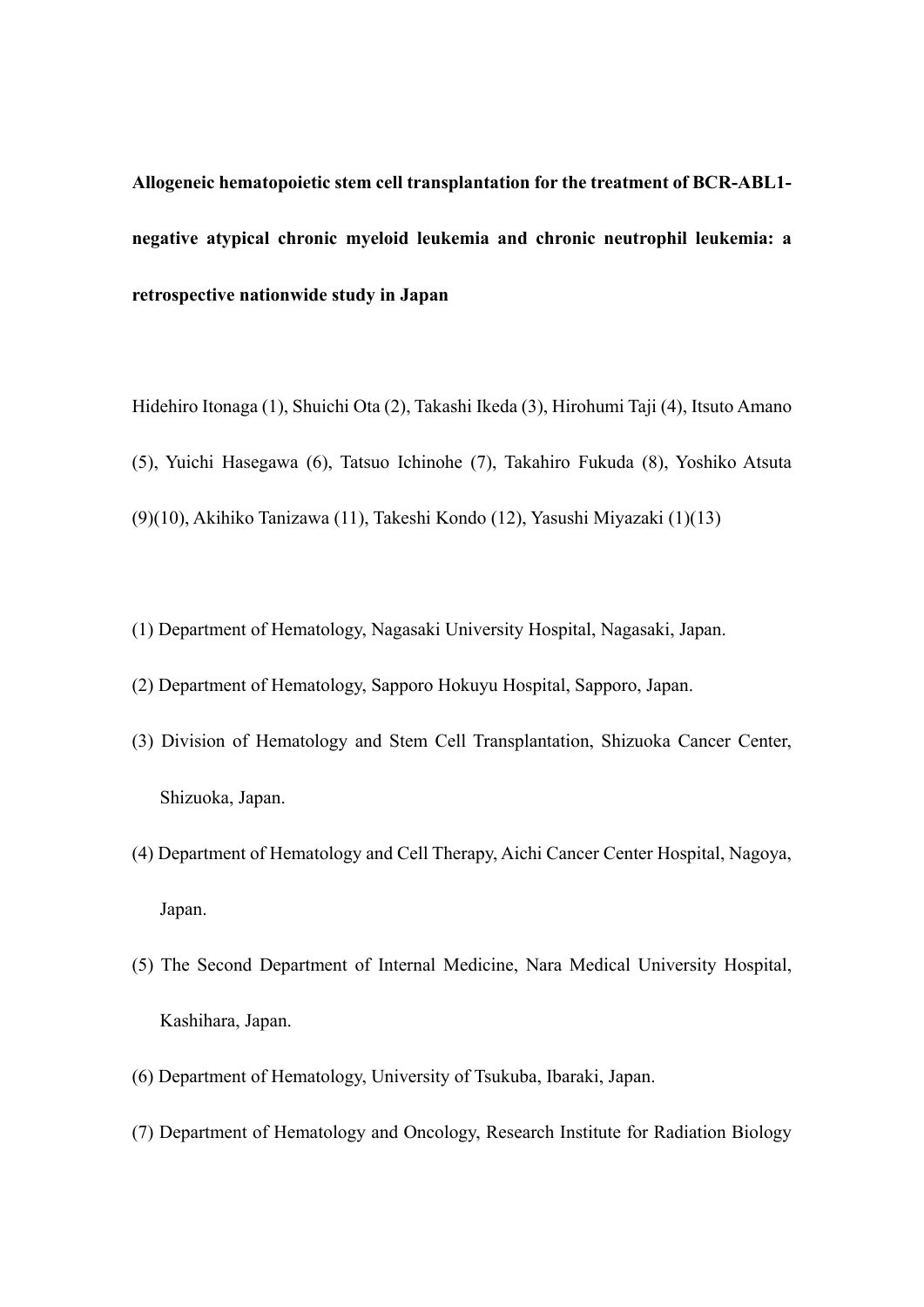**Allogeneic hematopoietic stem cell transplantation for the treatment of BCR-ABL1 negative atypical chronic myeloid leukemia and chronic neutrophil leukemia: a retrospective nationwide study in Japan**

- Hidehiro Itonaga (1), Shuichi Ota (2), Takashi Ikeda (3), Hirohumi Taji (4), Itsuto Amano (5), Yuichi Hasegawa (6), Tatsuo Ichinohe (7), Takahiro Fukuda (8), Yoshiko Atsuta (9)(10), Akihiko Tanizawa (11), Takeshi Kondo (12), Yasushi Miyazaki (1)(13)
- (1) Department of Hematology, Nagasaki University Hospital, Nagasaki, Japan.
- (2) Department of Hematology, Sapporo Hokuyu Hospital, Sapporo, Japan.
- (3) Division of Hematology and Stem Cell Transplantation, Shizuoka Cancer Center, Shizuoka, Japan.
- (4) Department of Hematology and Cell Therapy, Aichi Cancer Center Hospital, Nagoya, Japan.
- (5) The Second Department of Internal Medicine, Nara Medical University Hospital, Kashihara, Japan.
- (6) Department of Hematology, University of Tsukuba, Ibaraki, Japan.
- (7) Department of Hematology and Oncology, Research Institute for Radiation Biology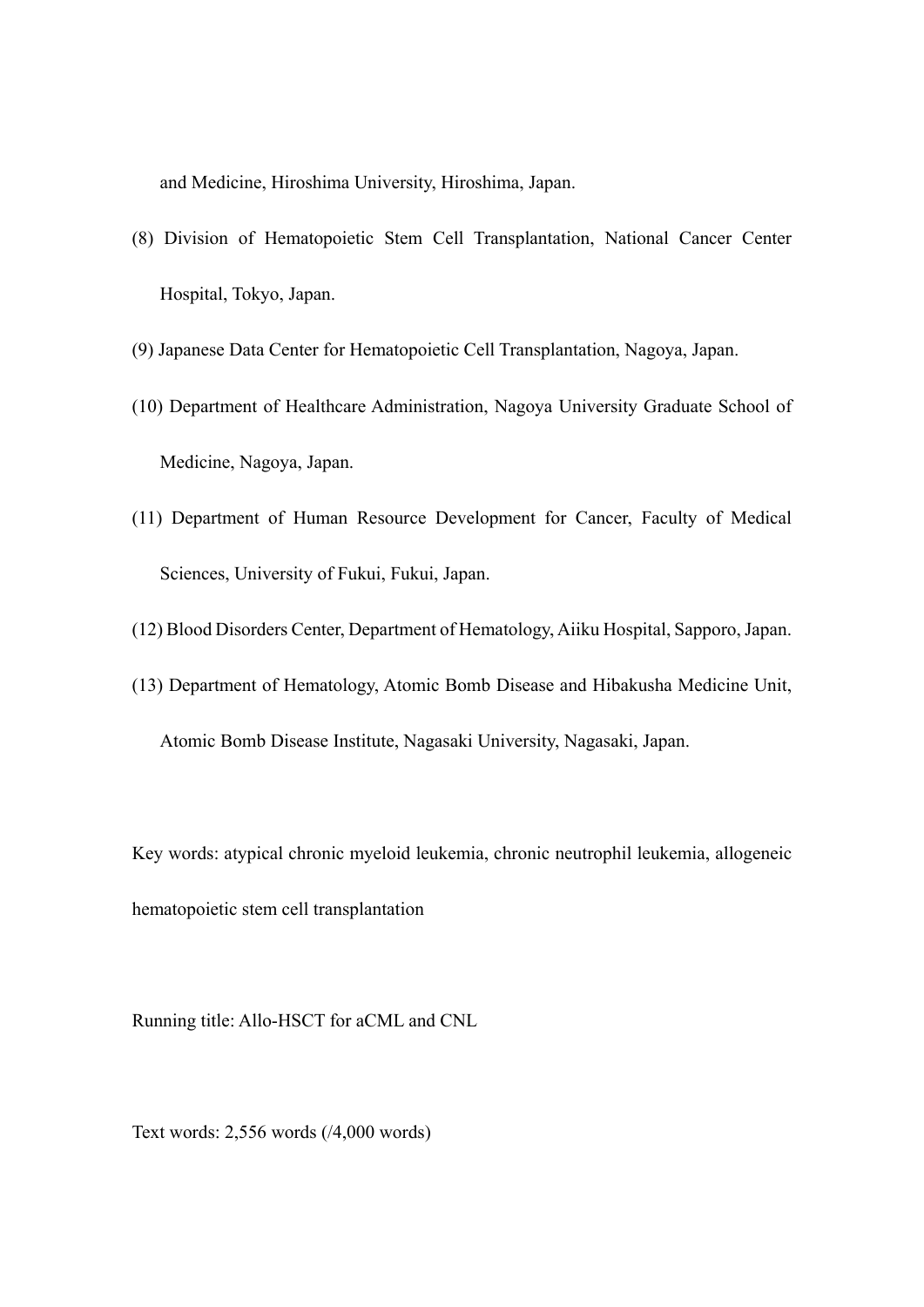and Medicine, Hiroshima University, Hiroshima, Japan.

- (8) Division of Hematopoietic Stem Cell Transplantation, National Cancer Center Hospital, Tokyo, Japan.
- (9) Japanese Data Center for Hematopoietic Cell Transplantation, Nagoya, Japan.
- (10) Department of Healthcare Administration, Nagoya University Graduate School of Medicine, Nagoya, Japan.
- (11) Department of Human Resource Development for Cancer, Faculty of Medical Sciences, University of Fukui, Fukui, Japan.
- (12) Blood Disorders Center, Department of Hematology, Aiiku Hospital, Sapporo, Japan.
- (13) Department of Hematology, Atomic Bomb Disease and Hibakusha Medicine Unit, Atomic Bomb Disease Institute, Nagasaki University, Nagasaki, Japan.

Key words: atypical chronic myeloid leukemia, chronic neutrophil leukemia, allogeneic hematopoietic stem cell transplantation

Running title: Allo-HSCT for aCML and CNL

Text words: 2,556 words (/4,000 words)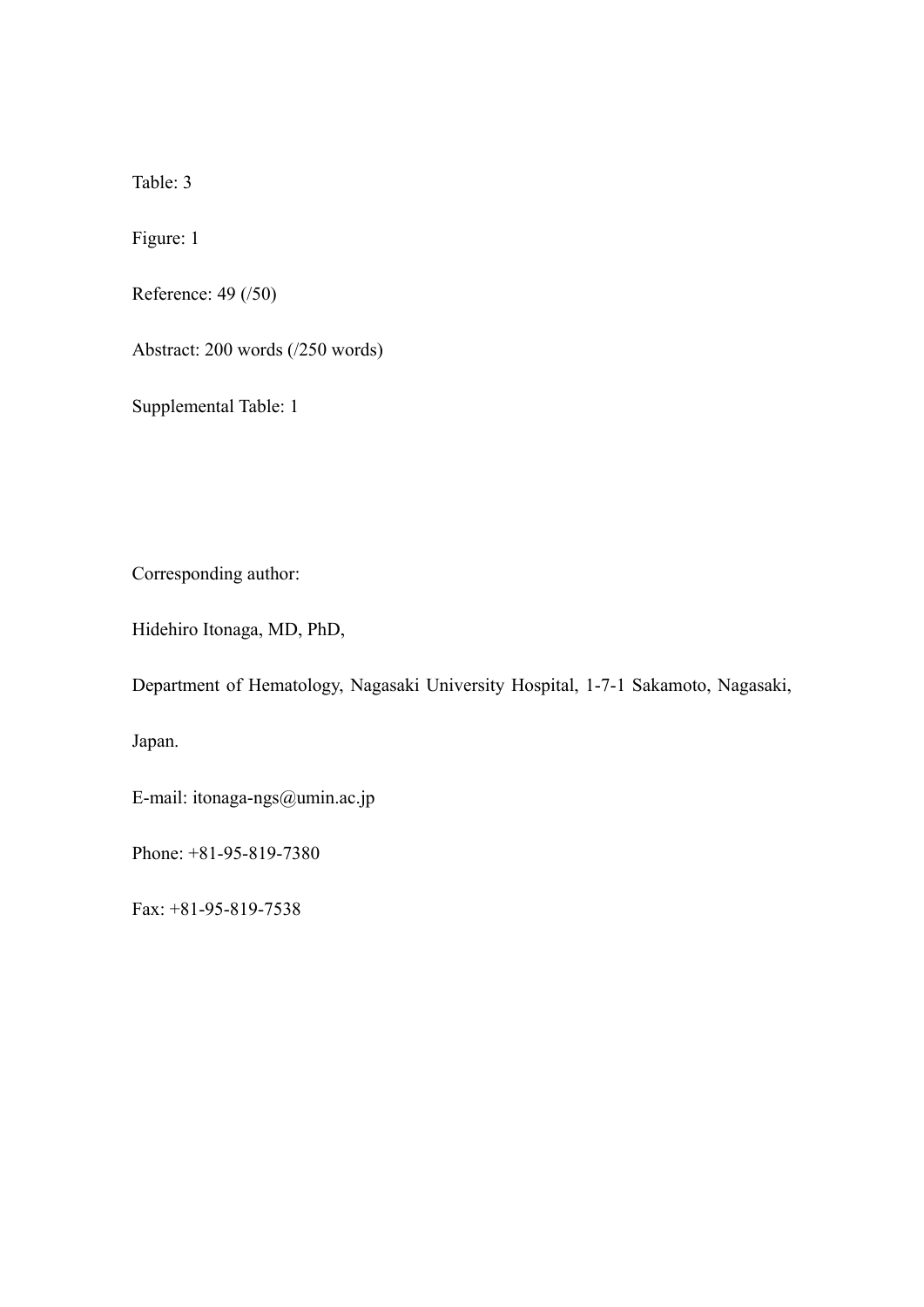Table: 3

Figure: 1

Reference: 49 (/50)

Abstract: 200 words (/250 words)

Supplemental Table: 1

Corresponding author:

Hidehiro Itonaga, MD, PhD,

Department of Hematology, Nagasaki University Hospital, 1-7-1 Sakamoto, Nagasaki,

Japan.

E-mail: itonaga-ngs@umin.ac.jp

Phone: +81-95-819-7380

Fax: +81-95-819-7538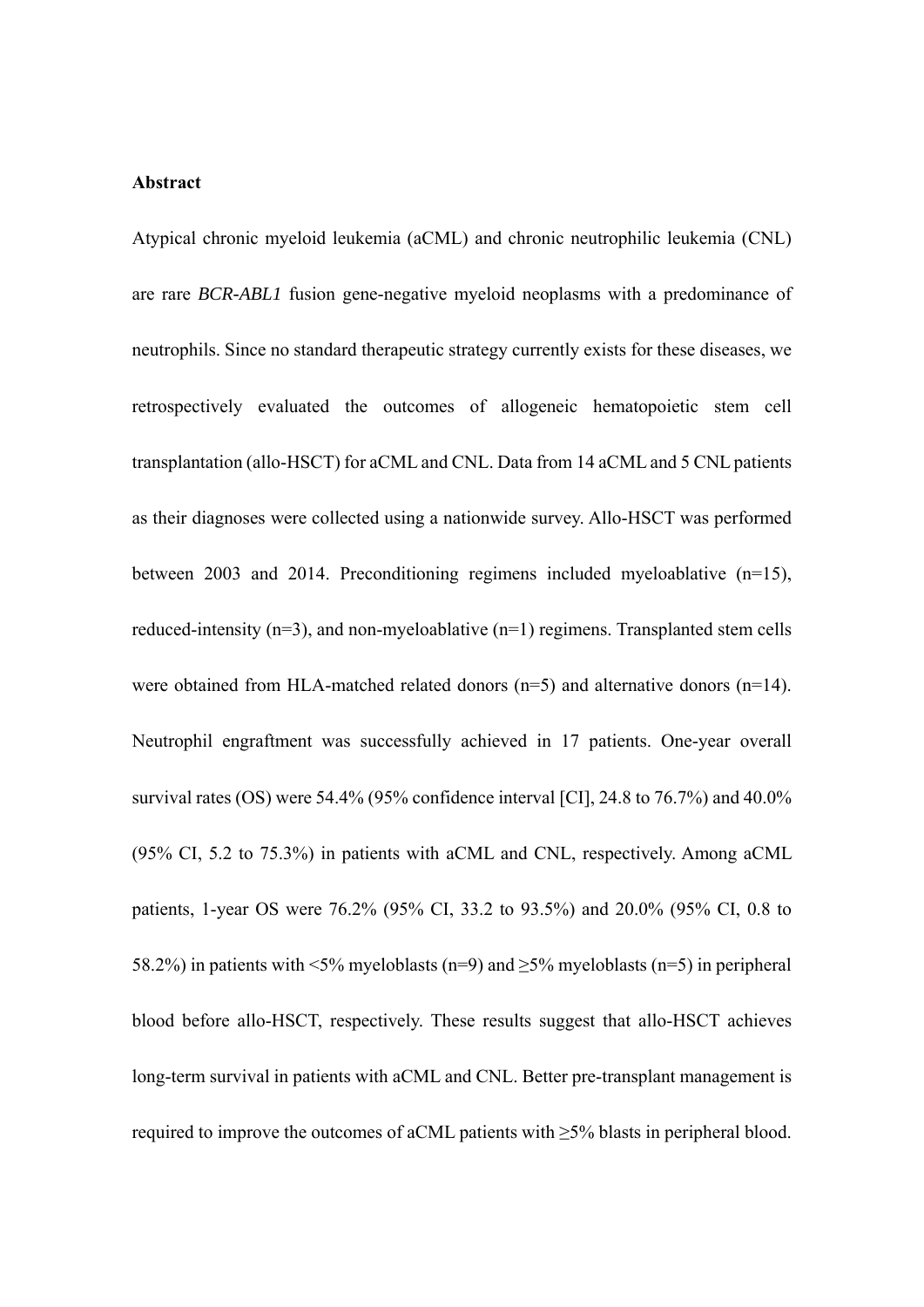### **Abstract**

Atypical chronic myeloid leukemia (aCML) and chronic neutrophilic leukemia (CNL) are rare *BCR-ABL1* fusion gene-negative myeloid neoplasms with a predominance of neutrophils. Since no standard therapeutic strategy currently exists for these diseases, we retrospectively evaluated the outcomes of allogeneic hematopoietic stem cell transplantation (allo-HSCT) for aCML and CNL. Data from 14 aCML and 5 CNL patients as their diagnoses were collected using a nationwide survey. Allo-HSCT was performed between 2003 and 2014. Preconditioning regimens included myeloablative (n=15), reduced-intensity ( $n=3$ ), and non-myeloablative ( $n=1$ ) regimens. Transplanted stem cells were obtained from HLA-matched related donors  $(n=5)$  and alternative donors  $(n=14)$ . Neutrophil engraftment was successfully achieved in 17 patients. One-year overall survival rates (OS) were 54.4% (95% confidence interval [CI], 24.8 to 76.7%) and 40.0% (95% CI, 5.2 to 75.3%) in patients with aCML and CNL, respectively. Among aCML patients, 1-year OS were 76.2% (95% CI, 33.2 to 93.5%) and 20.0% (95% CI, 0.8 to 58.2%) in patients with <5% myeloblasts (n=9) and  $\geq$ 5% myeloblasts (n=5) in peripheral blood before allo-HSCT, respectively. These results suggest that allo-HSCT achieves long-term survival in patients with aCML and CNL. Better pre-transplant management is required to improve the outcomes of aCML patients with ≥5% blasts in peripheral blood.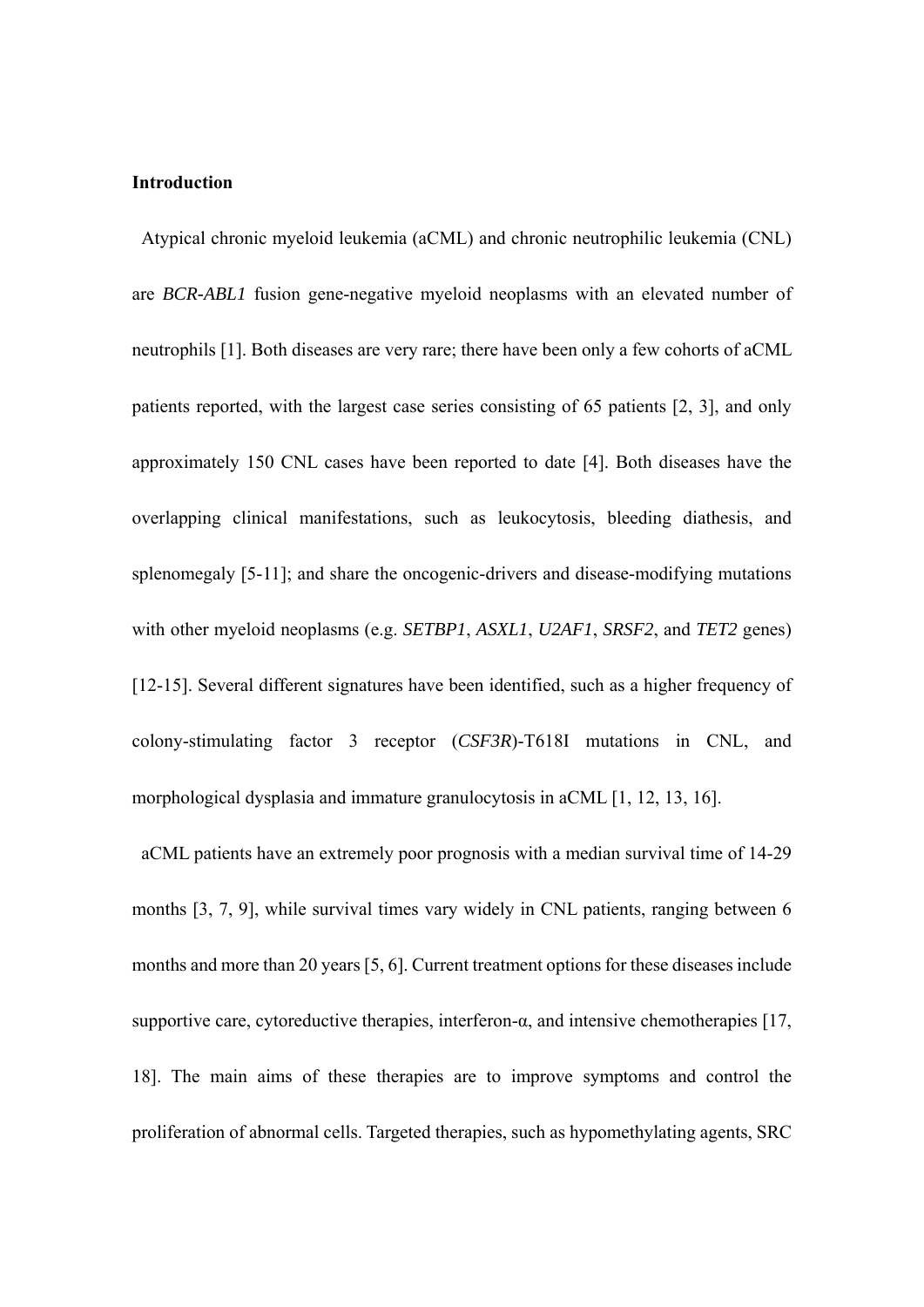# **Introduction**

Atypical chronic myeloid leukemia (aCML) and chronic neutrophilic leukemia (CNL) are *BCR-ABL1* fusion gene-negative myeloid neoplasms with an elevated number of neutrophils [1]. Both diseases are very rare; there have been only a few cohorts of aCML patients reported, with the largest case series consisting of 65 patients [2, 3], and only approximately 150 CNL cases have been reported to date [4]. Both diseases have the overlapping clinical manifestations, such as leukocytosis, bleeding diathesis, and splenomegaly [5-11]; and share the oncogenic-drivers and disease-modifying mutations with other myeloid neoplasms (e.g. *SETBP1*, *ASXL1*, *U2AF1*, *SRSF2*, and *TET2* genes) [12-15]. Several different signatures have been identified, such as a higher frequency of colony-stimulating factor 3 receptor (*CSF3R*)-T618I mutations in CNL, and morphological dysplasia and immature granulocytosis in aCML [1, 12, 13, 16].

 aCML patients have an extremely poor prognosis with a median survival time of 14-29 months [3, 7, 9], while survival times vary widely in CNL patients, ranging between 6 months and more than 20 years [5, 6]. Current treatment options for these diseases include supportive care, cytoreductive therapies, interferon- $\alpha$ , and intensive chemotherapies [17, 18]. The main aims of these therapies are to improve symptoms and control the proliferation of abnormal cells. Targeted therapies, such as hypomethylating agents, SRC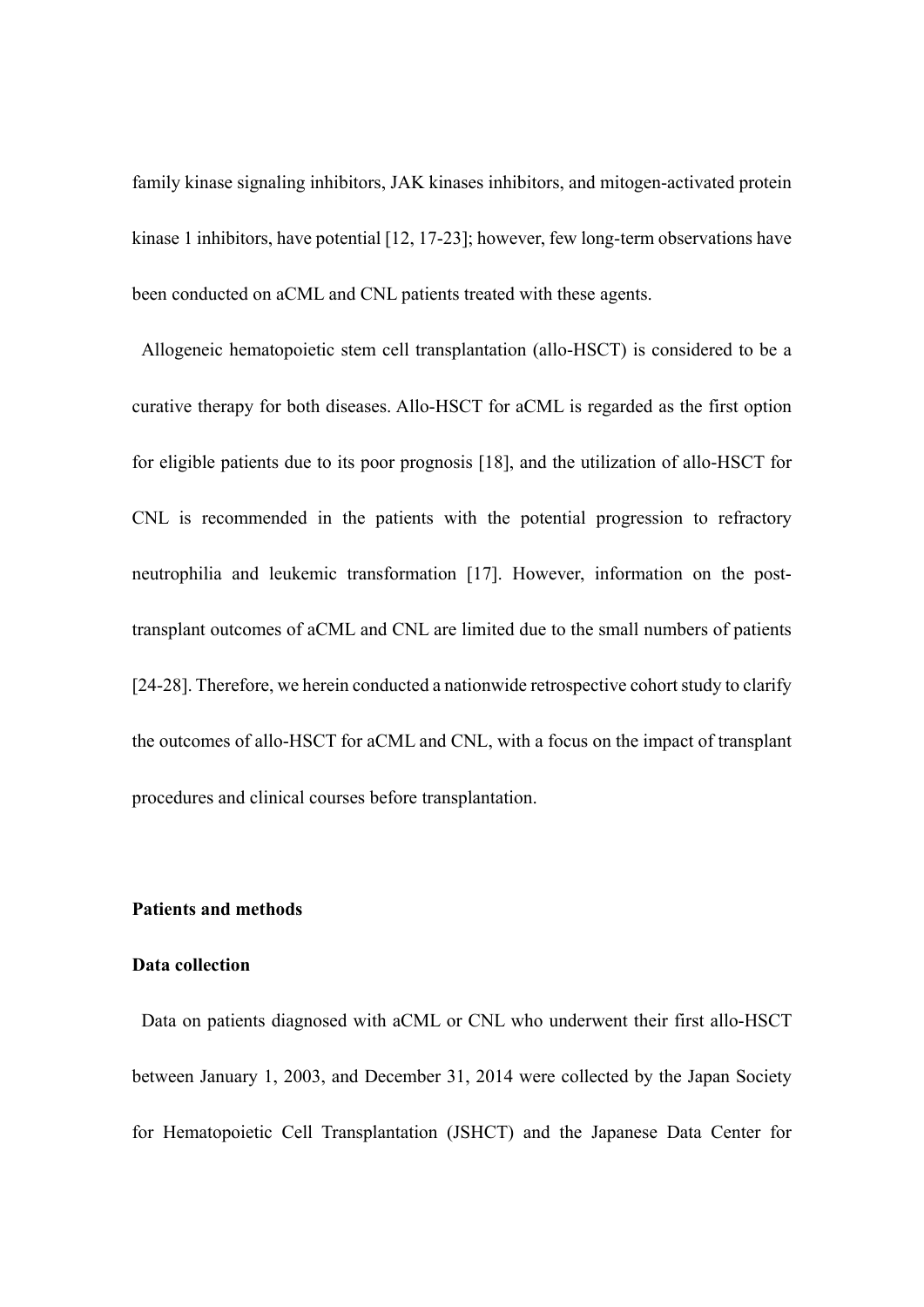family kinase signaling inhibitors, JAK kinases inhibitors, and mitogen-activated protein kinase 1 inhibitors, have potential [12, 17-23]; however, few long-term observations have been conducted on aCML and CNL patients treated with these agents.

Allogeneic hematopoietic stem cell transplantation (allo-HSCT) is considered to be a curative therapy for both diseases. Allo-HSCT for aCML is regarded as the first option for eligible patients due to its poor prognosis [18], and the utilization of allo-HSCT for CNL is recommended in the patients with the potential progression to refractory neutrophilia and leukemic transformation [17]. However, information on the posttransplant outcomes of aCML and CNL are limited due to the small numbers of patients [24-28]. Therefore, we herein conducted a nationwide retrospective cohort study to clarify the outcomes of allo-HSCT for aCML and CNL, with a focus on the impact of transplant procedures and clinical courses before transplantation.

# **Patients and methods**

### **Data collection**

 Data on patients diagnosed with aCML or CNL who underwent their first allo-HSCT between January 1, 2003, and December 31, 2014 were collected by the Japan Society for Hematopoietic Cell Transplantation (JSHCT) and the Japanese Data Center for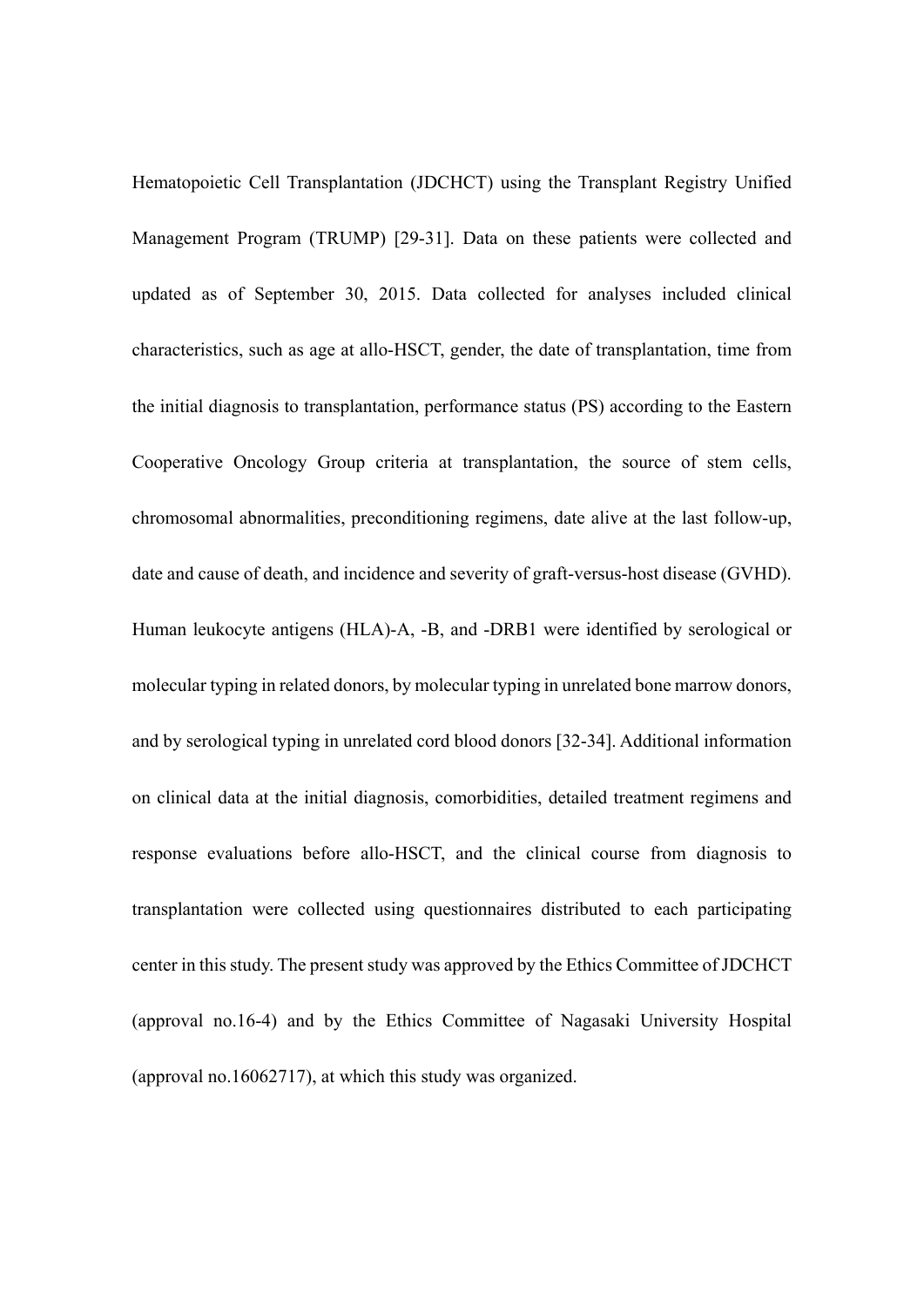Hematopoietic Cell Transplantation (JDCHCT) using the Transplant Registry Unified Management Program (TRUMP) [29-31]. Data on these patients were collected and updated as of September 30, 2015. Data collected for analyses included clinical characteristics, such as age at allo-HSCT, gender, the date of transplantation, time from the initial diagnosis to transplantation, performance status (PS) according to the Eastern Cooperative Oncology Group criteria at transplantation, the source of stem cells, chromosomal abnormalities, preconditioning regimens, date alive at the last follow-up, date and cause of death, and incidence and severity of graft-versus-host disease (GVHD). Human leukocyte antigens (HLA)-A, -B, and -DRB1 were identified by serological or molecular typing in related donors, by molecular typing in unrelated bone marrow donors, and by serological typing in unrelated cord blood donors [32-34]. Additional information on clinical data at the initial diagnosis, comorbidities, detailed treatment regimens and response evaluations before allo-HSCT, and the clinical course from diagnosis to transplantation were collected using questionnaires distributed to each participating center in this study. The present study was approved by the Ethics Committee of JDCHCT (approval no.16-4) and by the Ethics Committee of Nagasaki University Hospital (approval no.16062717), at which this study was organized.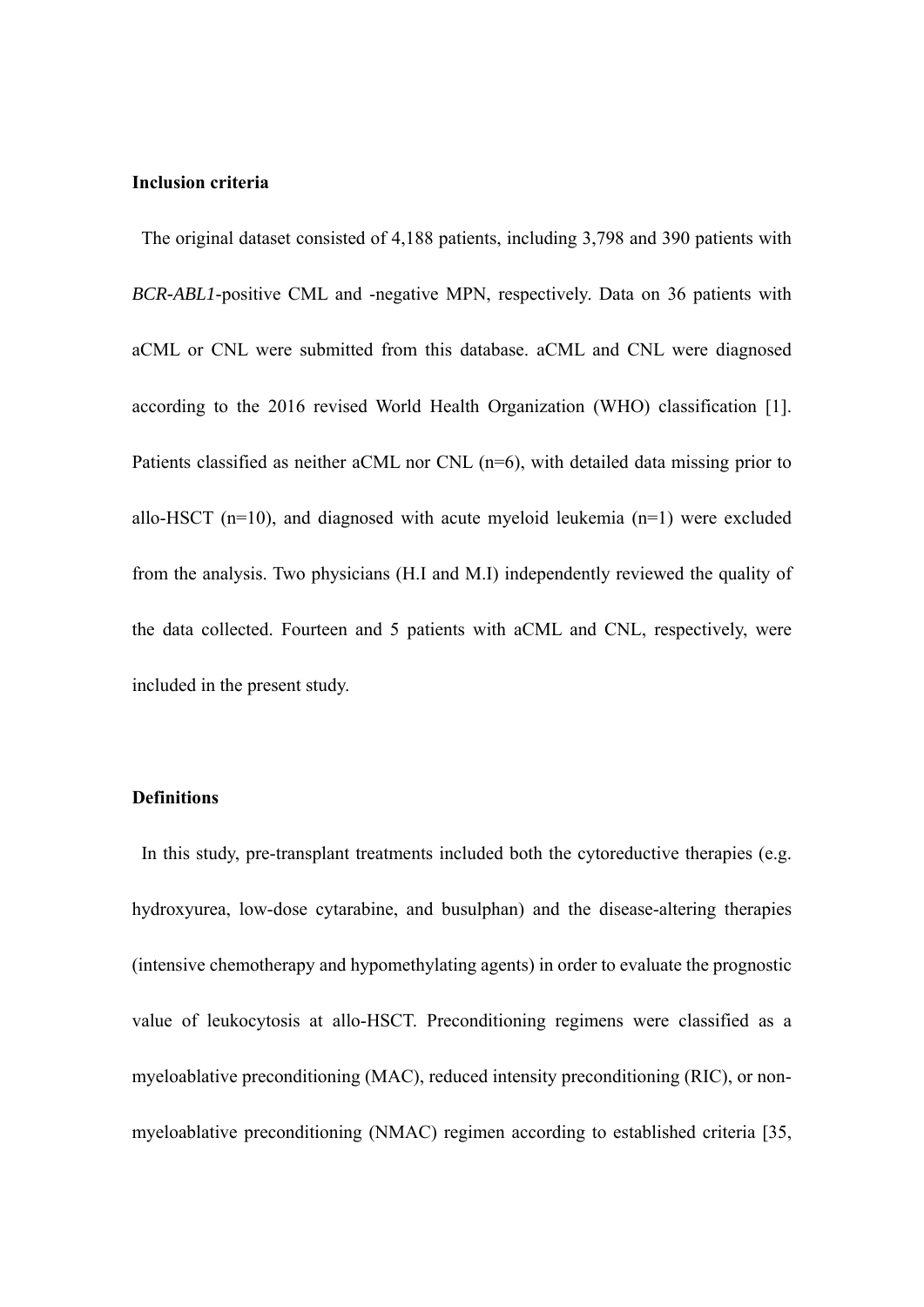# **Inclusion criteria**

 The original dataset consisted of 4,188 patients, including 3,798 and 390 patients with *BCR-ABL1*-positive CML and -negative MPN, respectively. Data on 36 patients with aCML or CNL were submitted from this database. aCML and CNL were diagnosed according to the 2016 revised World Health Organization (WHO) classification [1]. Patients classified as neither aCML nor CNL (n=6), with detailed data missing prior to allo-HSCT ( $n=10$ ), and diagnosed with acute myeloid leukemia ( $n=1$ ) were excluded from the analysis. Two physicians (H.I and M.I) independently reviewed the quality of the data collected. Fourteen and 5 patients with aCML and CNL, respectively, were included in the present study.

# **Definitions**

In this study, pre-transplant treatments included both the cytoreductive therapies (e.g. hydroxyurea, low-dose cytarabine, and busulphan) and the disease-altering therapies (intensive chemotherapy and hypomethylating agents) in order to evaluate the prognostic value of leukocytosis at allo-HSCT. Preconditioning regimens were classified as a myeloablative preconditioning (MAC), reduced intensity preconditioning (RIC), or nonmyeloablative preconditioning (NMAC) regimen according to established criteria [35,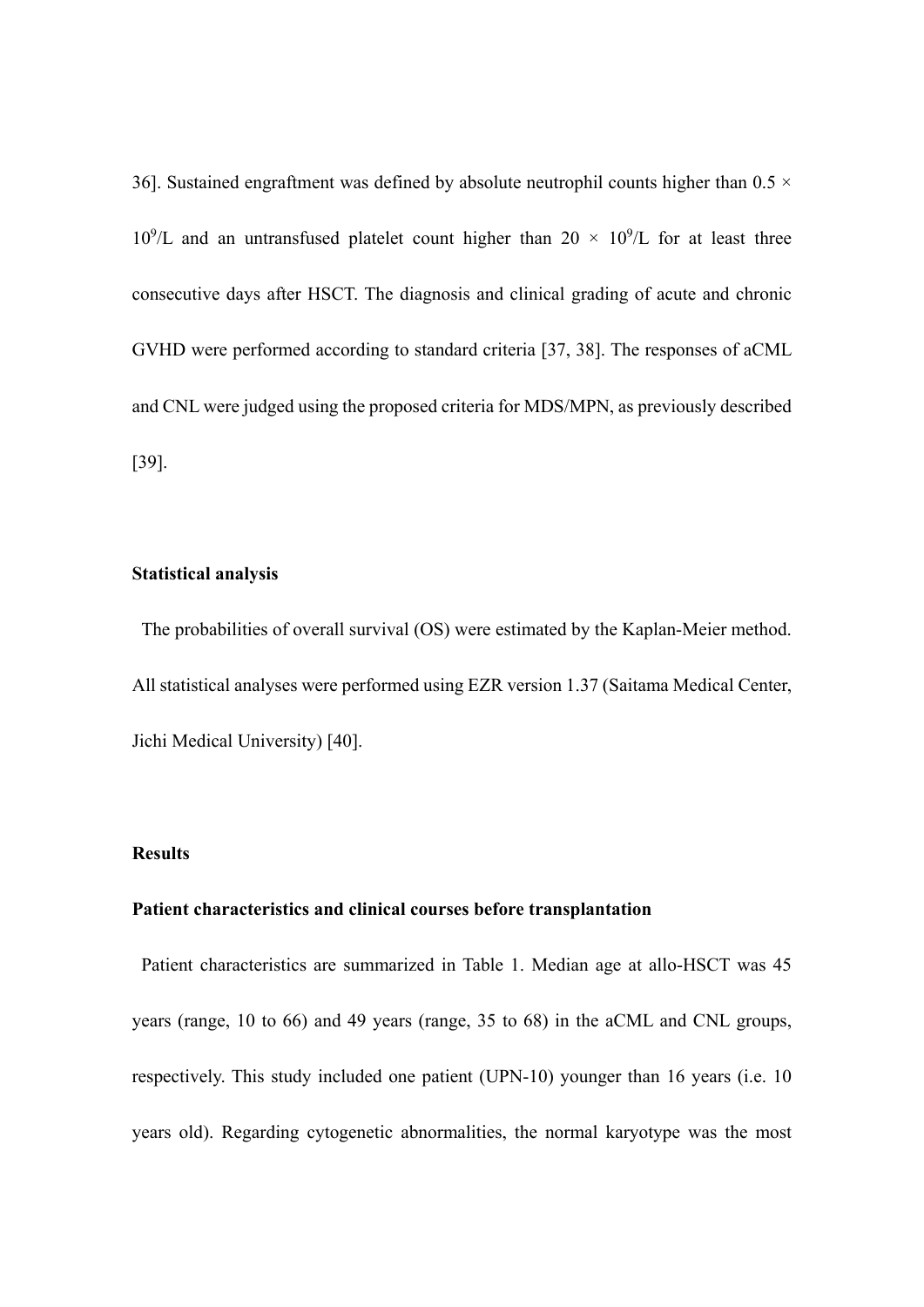36]. Sustained engraftment was defined by absolute neutrophil counts higher than  $0.5 \times$  $10^9$ /L and an untransfused platelet count higher than  $20 \times 10^9$ /L for at least three consecutive days after HSCT. The diagnosis and clinical grading of acute and chronic GVHD were performed according to standard criteria [37, 38]. The responses of aCML and CNL were judged using the proposed criteria for MDS/MPN, as previously described [39].

# **Statistical analysis**

 The probabilities of overall survival (OS) were estimated by the Kaplan-Meier method. All statistical analyses were performed using EZR version 1.37 (Saitama Medical Center, Jichi Medical University) [40].

# **Results**

# **Patient characteristics and clinical courses before transplantation**

Patient characteristics are summarized in Table 1. Median age at allo-HSCT was 45 years (range, 10 to 66) and 49 years (range, 35 to 68) in the aCML and CNL groups, respectively. This study included one patient (UPN-10) younger than 16 years (i.e. 10 years old). Regarding cytogenetic abnormalities, the normal karyotype was the most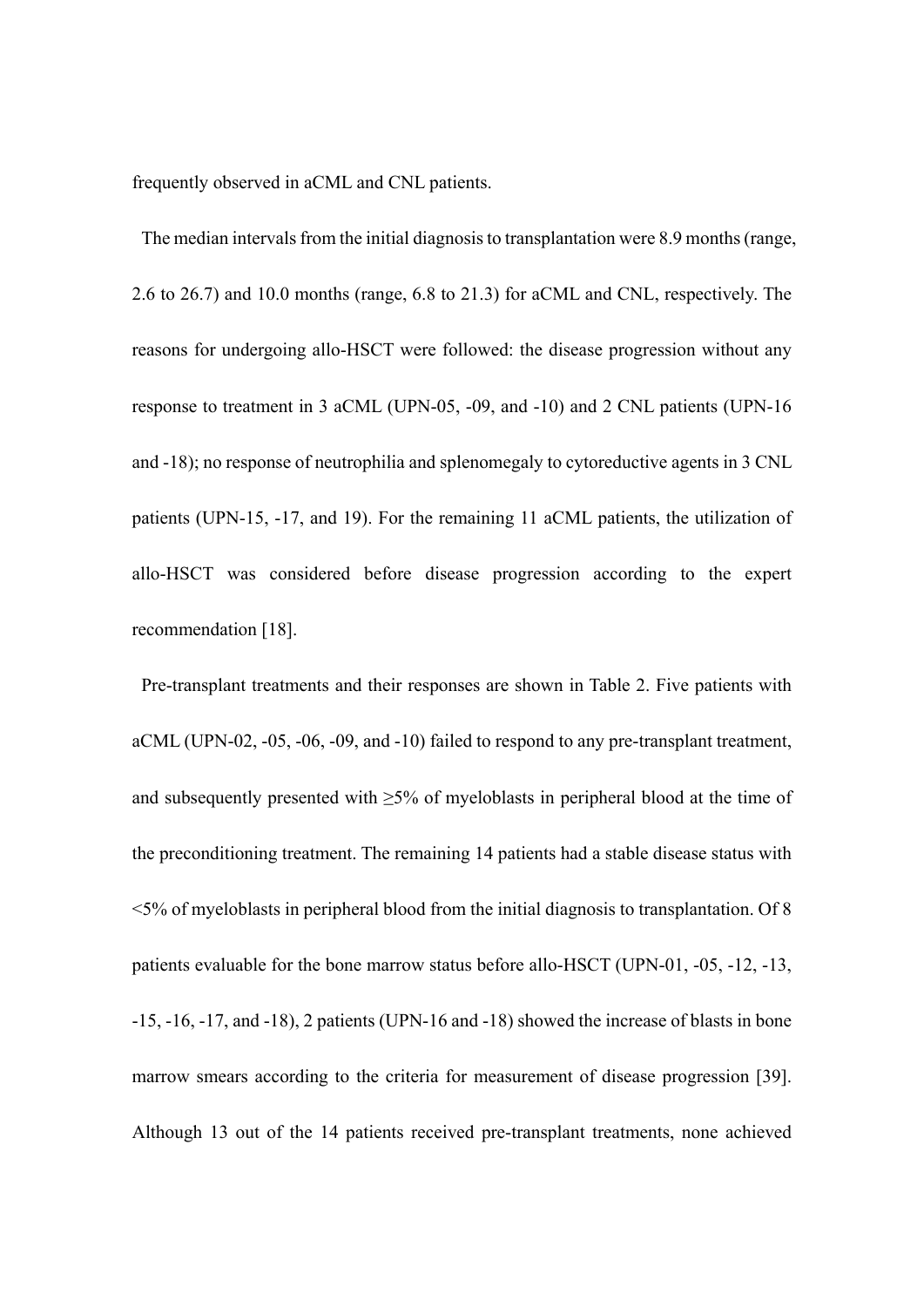frequently observed in aCML and CNL patients.

The median intervals from the initial diagnosis to transplantation were 8.9 months (range, 2.6 to 26.7) and 10.0 months (range, 6.8 to 21.3) for aCML and CNL, respectively. The reasons for undergoing allo-HSCT were followed: the disease progression without any response to treatment in 3 aCML (UPN-05, -09, and -10) and 2 CNL patients (UPN-16 and -18); no response of neutrophilia and splenomegaly to cytoreductive agents in 3 CNL patients (UPN-15, -17, and 19). For the remaining 11 aCML patients, the utilization of allo-HSCT was considered before disease progression according to the expert recommendation [18].

Pre-transplant treatments and their responses are shown in Table 2. Five patients with aCML (UPN-02, -05, -06, -09, and -10) failed to respond to any pre-transplant treatment, and subsequently presented with  $\geq$ 5% of myeloblasts in peripheral blood at the time of the preconditioning treatment. The remaining 14 patients had a stable disease status with <5% of myeloblasts in peripheral blood from the initial diagnosis to transplantation. Of 8 patients evaluable for the bone marrow status before allo-HSCT (UPN-01, -05, -12, -13, -15, -16, -17, and -18), 2 patients (UPN-16 and -18) showed the increase of blasts in bone marrow smears according to the criteria for measurement of disease progression [39]. Although 13 out of the 14 patients received pre-transplant treatments, none achieved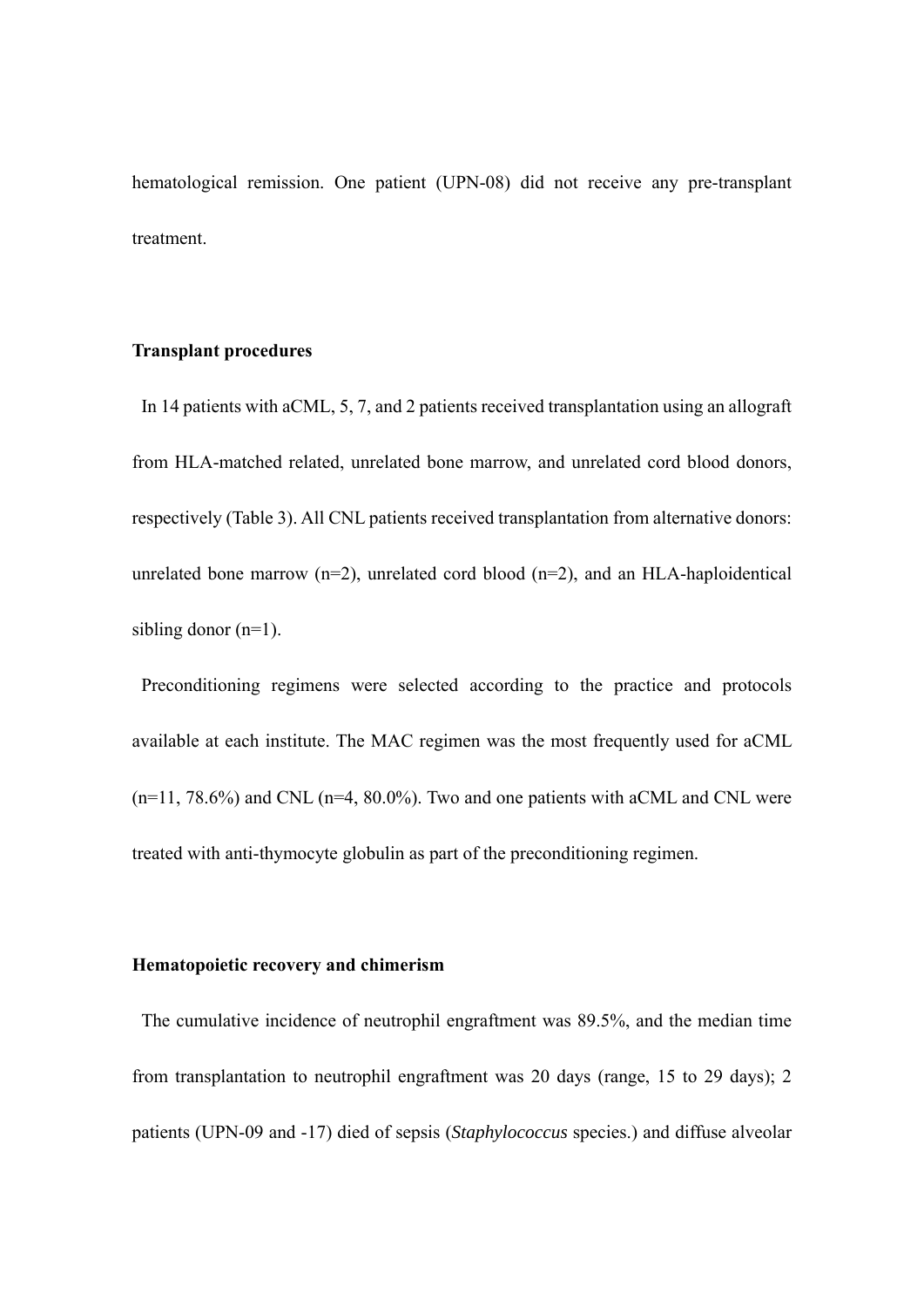hematological remission. One patient (UPN-08) did not receive any pre-transplant treatment.

# **Transplant procedures**

 In 14 patients with aCML, 5, 7, and 2 patients received transplantation using an allograft from HLA-matched related, unrelated bone marrow, and unrelated cord blood donors, respectively (Table 3). All CNL patients received transplantation from alternative donors: unrelated bone marrow ( $n=2$ ), unrelated cord blood ( $n=2$ ), and an HLA-haploidentical sibling donor (n=1).

 Preconditioning regimens were selected according to the practice and protocols available at each institute. The MAC regimen was the most frequently used for aCML  $(n=11, 78.6%)$  and CNL  $(n=4, 80.0%)$ . Two and one patients with aCML and CNL were treated with anti-thymocyte globulin as part of the preconditioning regimen.

# **Hematopoietic recovery and chimerism**

 The cumulative incidence of neutrophil engraftment was 89.5%, and the median time from transplantation to neutrophil engraftment was 20 days (range, 15 to 29 days); 2 patients (UPN-09 and -17) died of sepsis (*Staphylococcus* species.) and diffuse alveolar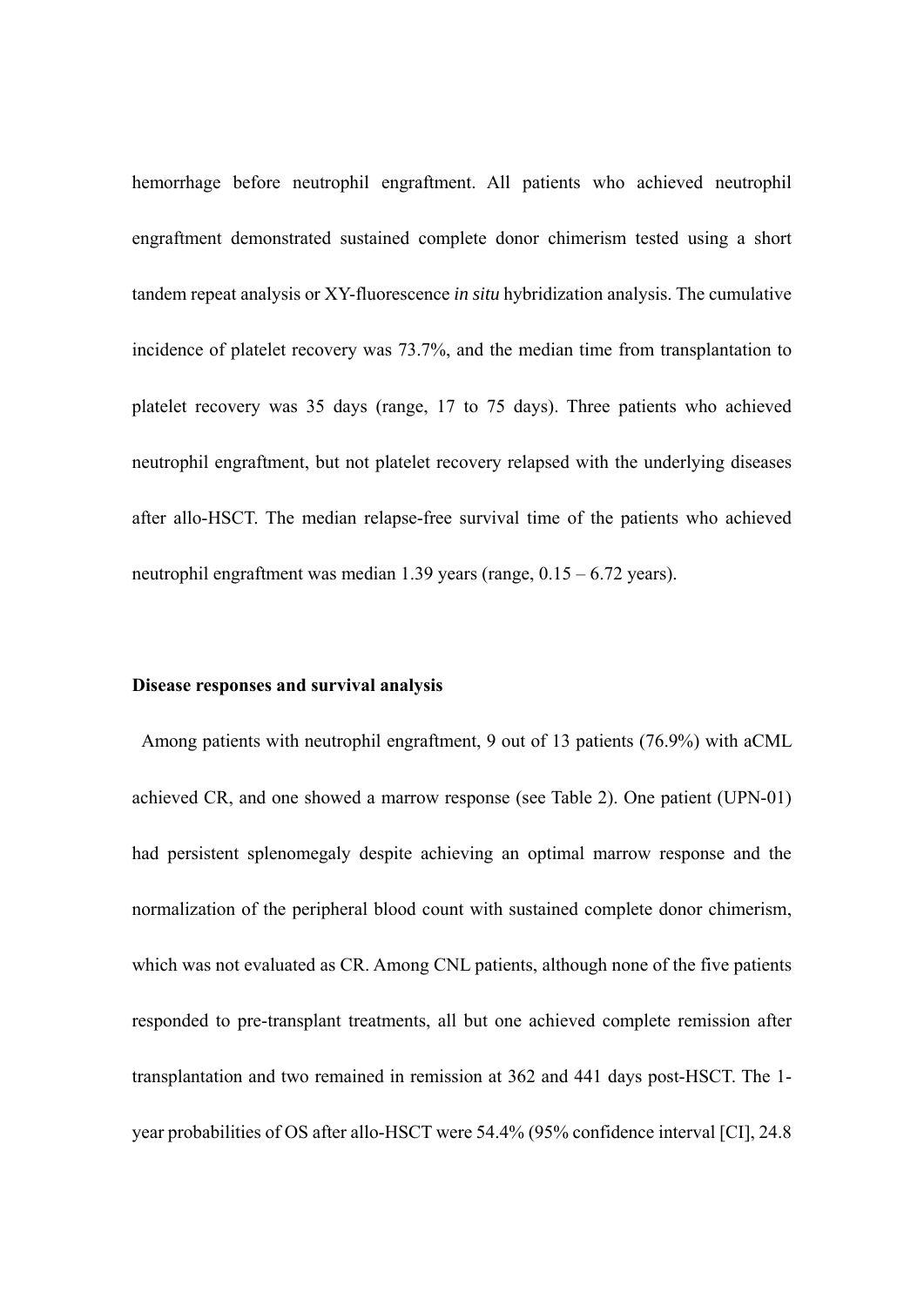hemorrhage before neutrophil engraftment. All patients who achieved neutrophil engraftment demonstrated sustained complete donor chimerism tested using a short tandem repeat analysis or XY-fluorescence *in situ* hybridization analysis. The cumulative incidence of platelet recovery was 73.7%, and the median time from transplantation to platelet recovery was 35 days (range, 17 to 75 days). Three patients who achieved neutrophil engraftment, but not platelet recovery relapsed with the underlying diseases after allo-HSCT. The median relapse-free survival time of the patients who achieved neutrophil engraftment was median 1.39 years (range, 0.15 – 6.72 years).

#### **Disease responses and survival analysis**

 Among patients with neutrophil engraftment, 9 out of 13 patients (76.9%) with aCML achieved CR, and one showed a marrow response (see Table 2). One patient (UPN-01) had persistent splenomegaly despite achieving an optimal marrow response and the normalization of the peripheral blood count with sustained complete donor chimerism, which was not evaluated as CR. Among CNL patients, although none of the five patients responded to pre-transplant treatments, all but one achieved complete remission after transplantation and two remained in remission at 362 and 441 days post-HSCT. The 1 year probabilities of OS after allo-HSCT were 54.4% (95% confidence interval [CI], 24.8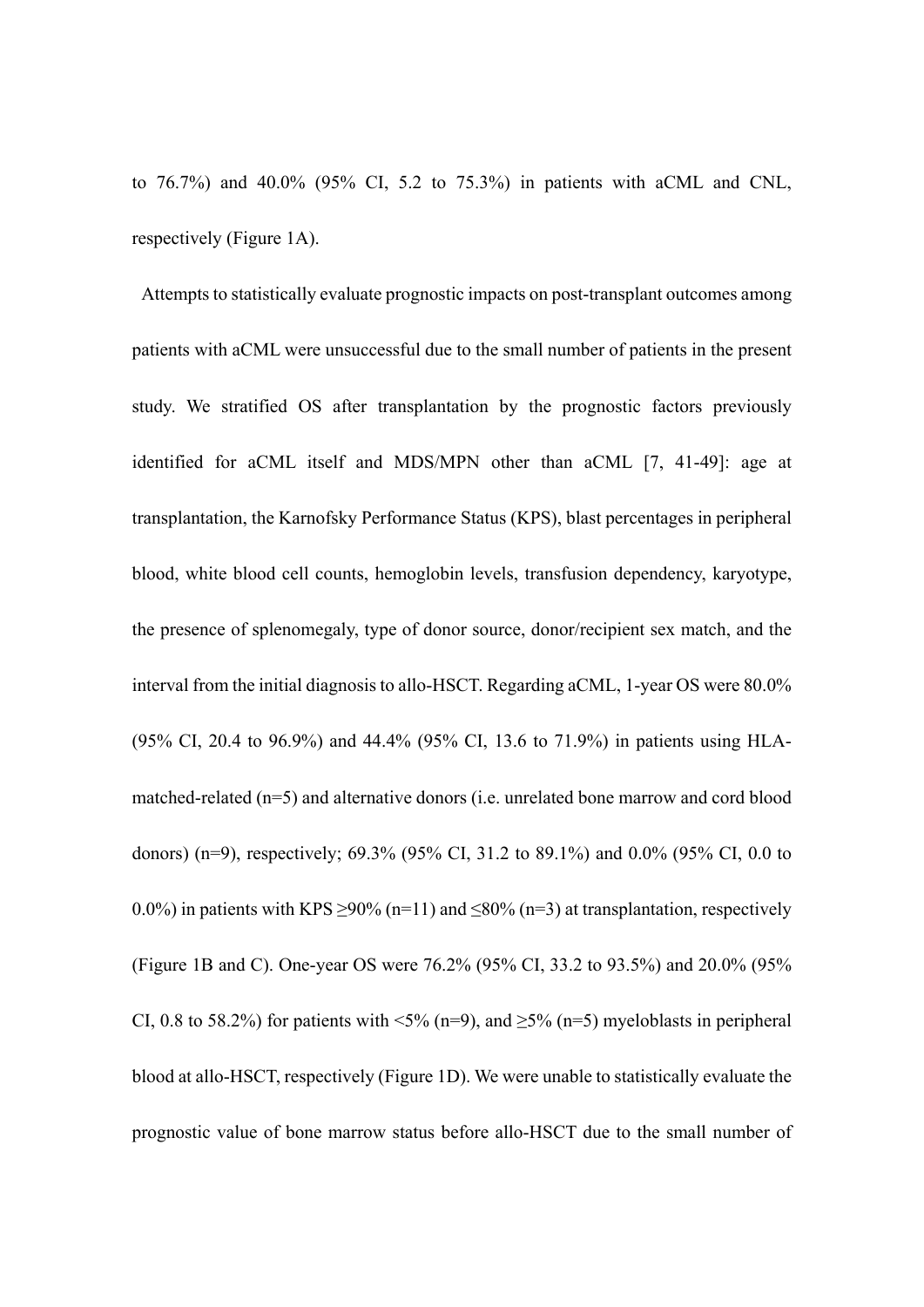to 76.7%) and 40.0% (95% CI, 5.2 to 75.3%) in patients with aCML and CNL, respectively (Figure 1A).

Attempts to statistically evaluate prognostic impacts on post-transplant outcomes among patients with aCML were unsuccessful due to the small number of patients in the present study. We stratified OS after transplantation by the prognostic factors previously identified for aCML itself and MDS/MPN other than aCML [7, 41-49]: age at transplantation, the Karnofsky Performance Status (KPS), blast percentages in peripheral blood, white blood cell counts, hemoglobin levels, transfusion dependency, karyotype, the presence of splenomegaly, type of donor source, donor/recipient sex match, and the interval from the initial diagnosis to allo-HSCT. Regarding aCML, 1-year OS were 80.0% (95% CI, 20.4 to 96.9%) and 44.4% (95% CI, 13.6 to 71.9%) in patients using HLAmatched-related (n=5) and alternative donors (i.e. unrelated bone marrow and cord blood donors) (n=9), respectively; 69.3% (95% CI, 31.2 to 89.1%) and 0.0% (95% CI, 0.0 to 0.0%) in patients with KPS  $>90\%$  (n=11) and  $\leq 80\%$  (n=3) at transplantation, respectively (Figure 1B and C). One-year OS were 76.2% (95% CI, 33.2 to 93.5%) and 20.0% (95% CI, 0.8 to 58.2%) for patients with  $\leq 5\%$  (n=9), and  $\geq 5\%$  (n=5) myeloblasts in peripheral blood at allo-HSCT, respectively (Figure 1D). We were unable to statistically evaluate the prognostic value of bone marrow status before allo-HSCT due to the small number of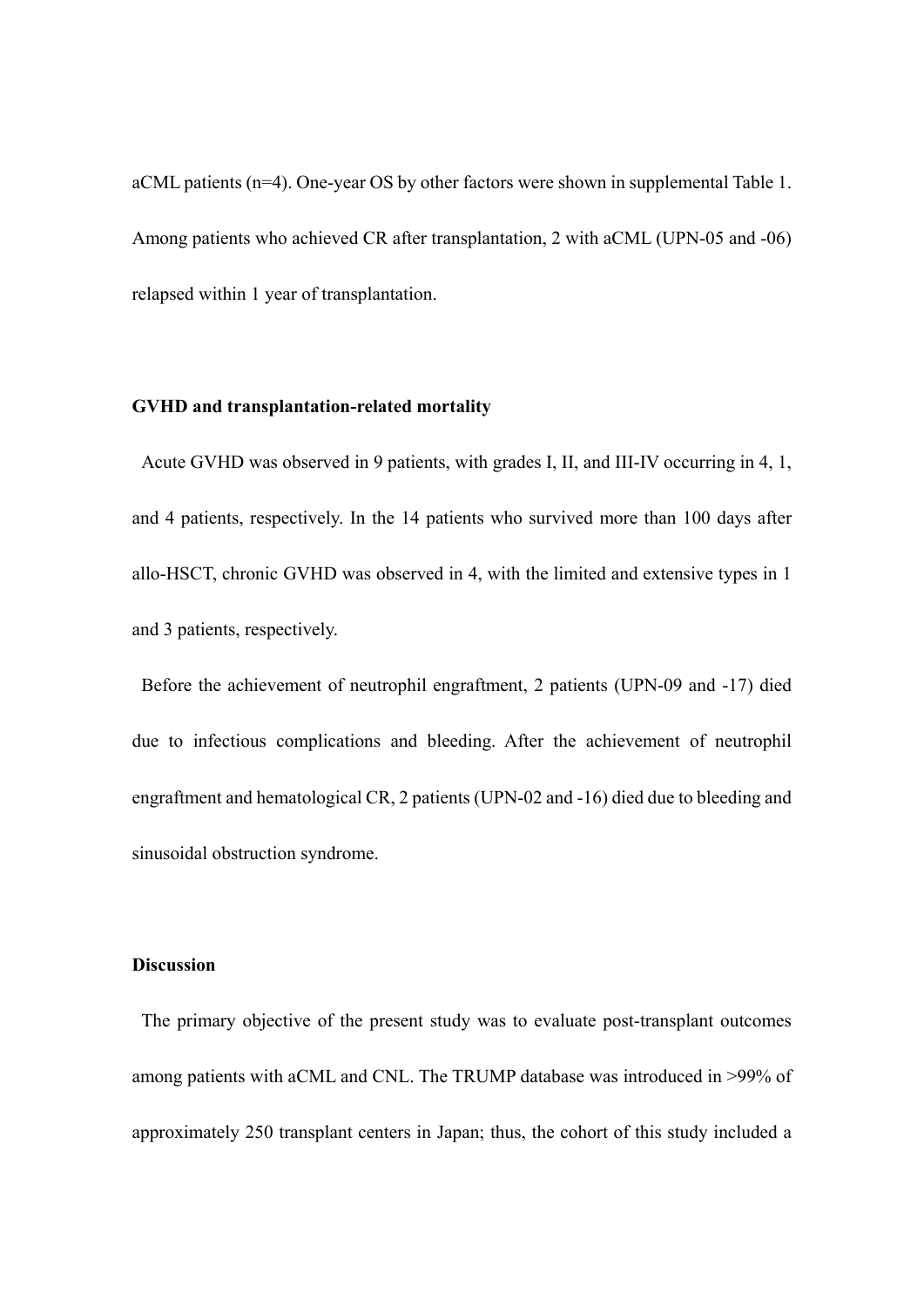aCML patients (n=4). One-year OS by other factors were shown in supplemental Table 1. Among patients who achieved CR after transplantation, 2 with aCML (UPN-05 and -06) relapsed within 1 year of transplantation.

#### **GVHD and transplantation-related mortality**

Acute GVHD was observed in 9 patients, with grades I, II, and III-IV occurring in 4, 1, and 4 patients, respectively. In the 14 patients who survived more than 100 days after allo-HSCT, chronic GVHD was observed in 4, with the limited and extensive types in 1 and 3 patients, respectively.

Before the achievement of neutrophil engraftment, 2 patients (UPN-09 and -17) died due to infectious complications and bleeding. After the achievement of neutrophil engraftment and hematological CR, 2 patients (UPN-02 and -16) died due to bleeding and sinusoidal obstruction syndrome.

# **Discussion**

The primary objective of the present study was to evaluate post-transplant outcomes among patients with aCML and CNL. The TRUMP database was introduced in >99% of approximately 250 transplant centers in Japan; thus, the cohort of this study included a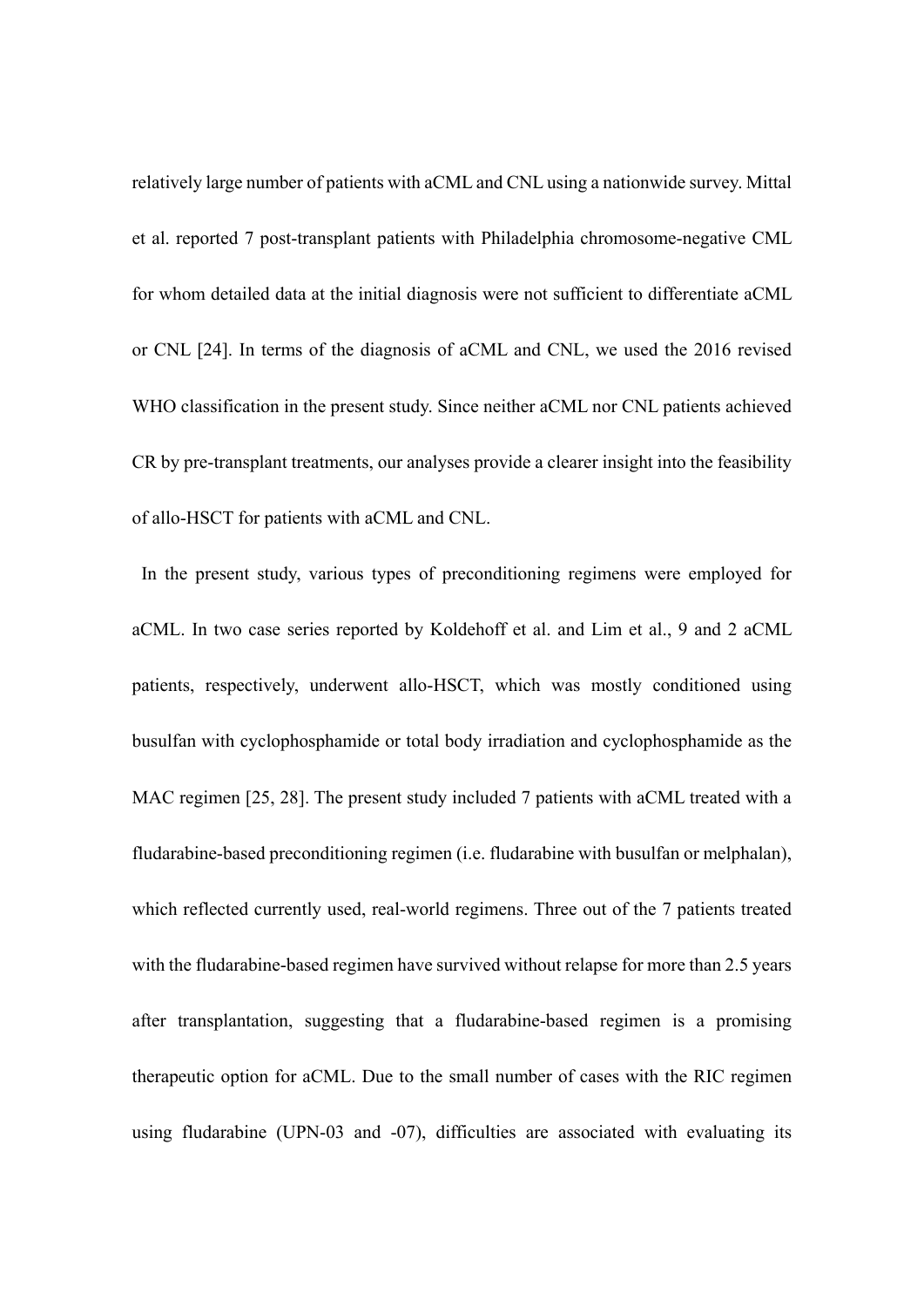relatively large number of patients with aCML and CNL using a nationwide survey. Mittal et al. reported 7 post-transplant patients with Philadelphia chromosome-negative CML for whom detailed data at the initial diagnosis were not sufficient to differentiate aCML or CNL [24]. In terms of the diagnosis of aCML and CNL, we used the 2016 revised WHO classification in the present study. Since neither aCML nor CNL patients achieved CR by pre-transplant treatments, our analyses provide a clearer insight into the feasibility of allo-HSCT for patients with aCML and CNL.

In the present study, various types of preconditioning regimens were employed for aCML. In two case series reported by Koldehoff et al. and Lim et al., 9 and 2 aCML patients, respectively, underwent allo-HSCT, which was mostly conditioned using busulfan with cyclophosphamide or total body irradiation and cyclophosphamide as the MAC regimen [25, 28]. The present study included 7 patients with aCML treated with a fludarabine-based preconditioning regimen (i.e. fludarabine with busulfan or melphalan), which reflected currently used, real-world regimens. Three out of the 7 patients treated with the fludarabine-based regimen have survived without relapse for more than 2.5 years after transplantation, suggesting that a fludarabine-based regimen is a promising therapeutic option for aCML. Due to the small number of cases with the RIC regimen using fludarabine (UPN-03 and -07), difficulties are associated with evaluating its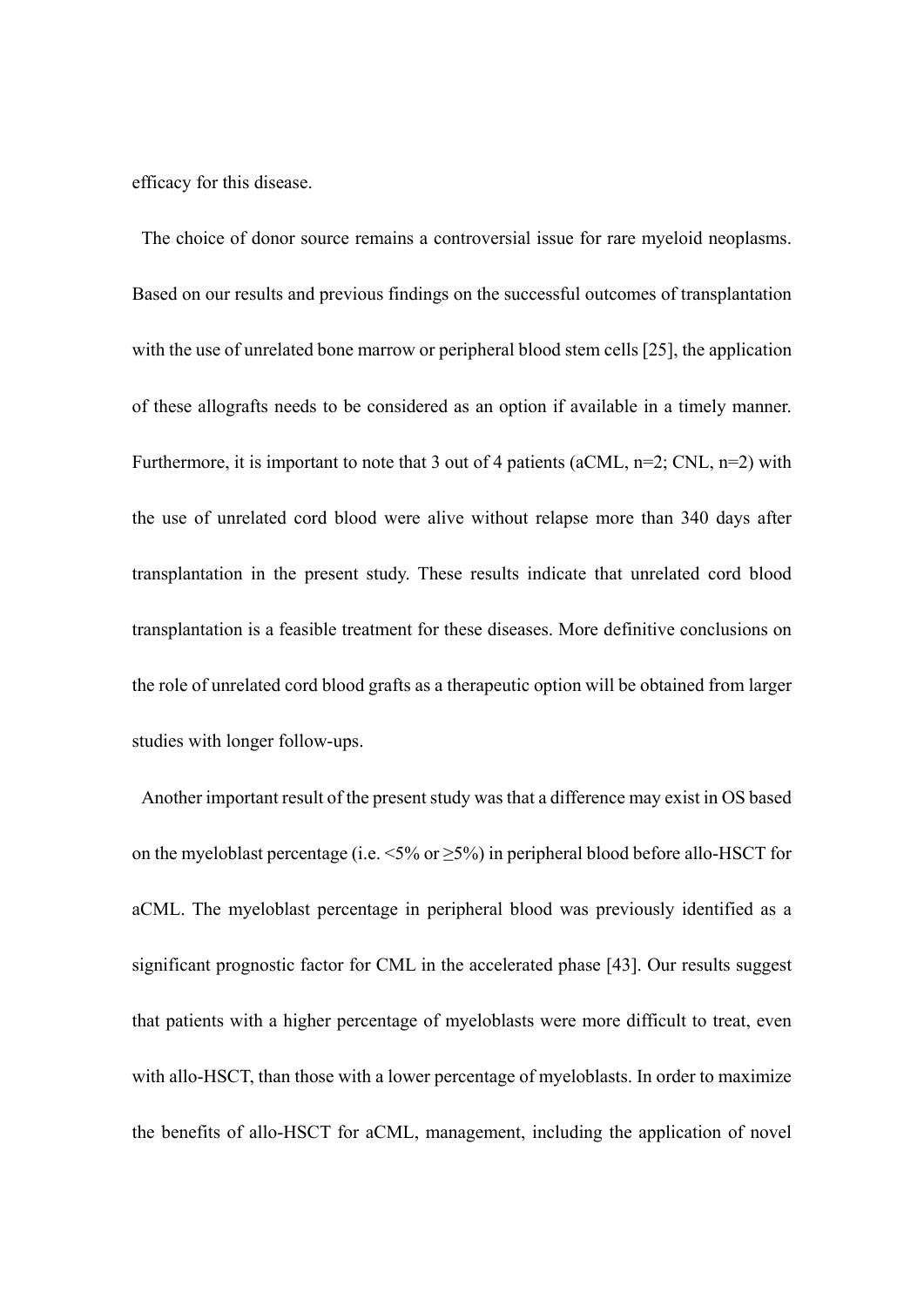efficacy for this disease.

The choice of donor source remains a controversial issue for rare myeloid neoplasms. Based on our results and previous findings on the successful outcomes of transplantation with the use of unrelated bone marrow or peripheral blood stem cells [25], the application of these allografts needs to be considered as an option if available in a timely manner. Furthermore, it is important to note that 3 out of 4 patients (aCML,  $n=2$ ; CNL,  $n=2$ ) with the use of unrelated cord blood were alive without relapse more than 340 days after transplantation in the present study. These results indicate that unrelated cord blood transplantation is a feasible treatment for these diseases. More definitive conclusions on the role of unrelated cord blood grafts as a therapeutic option will be obtained from larger studies with longer follow-ups.

 Another important result of the present study was that a difference may exist in OS based on the myeloblast percentage (i.e.  $\leq 5\%$  or  $\geq 5\%$ ) in peripheral blood before allo-HSCT for aCML. The myeloblast percentage in peripheral blood was previously identified as a significant prognostic factor for CML in the accelerated phase [43]. Our results suggest that patients with a higher percentage of myeloblasts were more difficult to treat, even with allo-HSCT, than those with a lower percentage of myeloblasts. In order to maximize the benefits of allo-HSCT for aCML, management, including the application of novel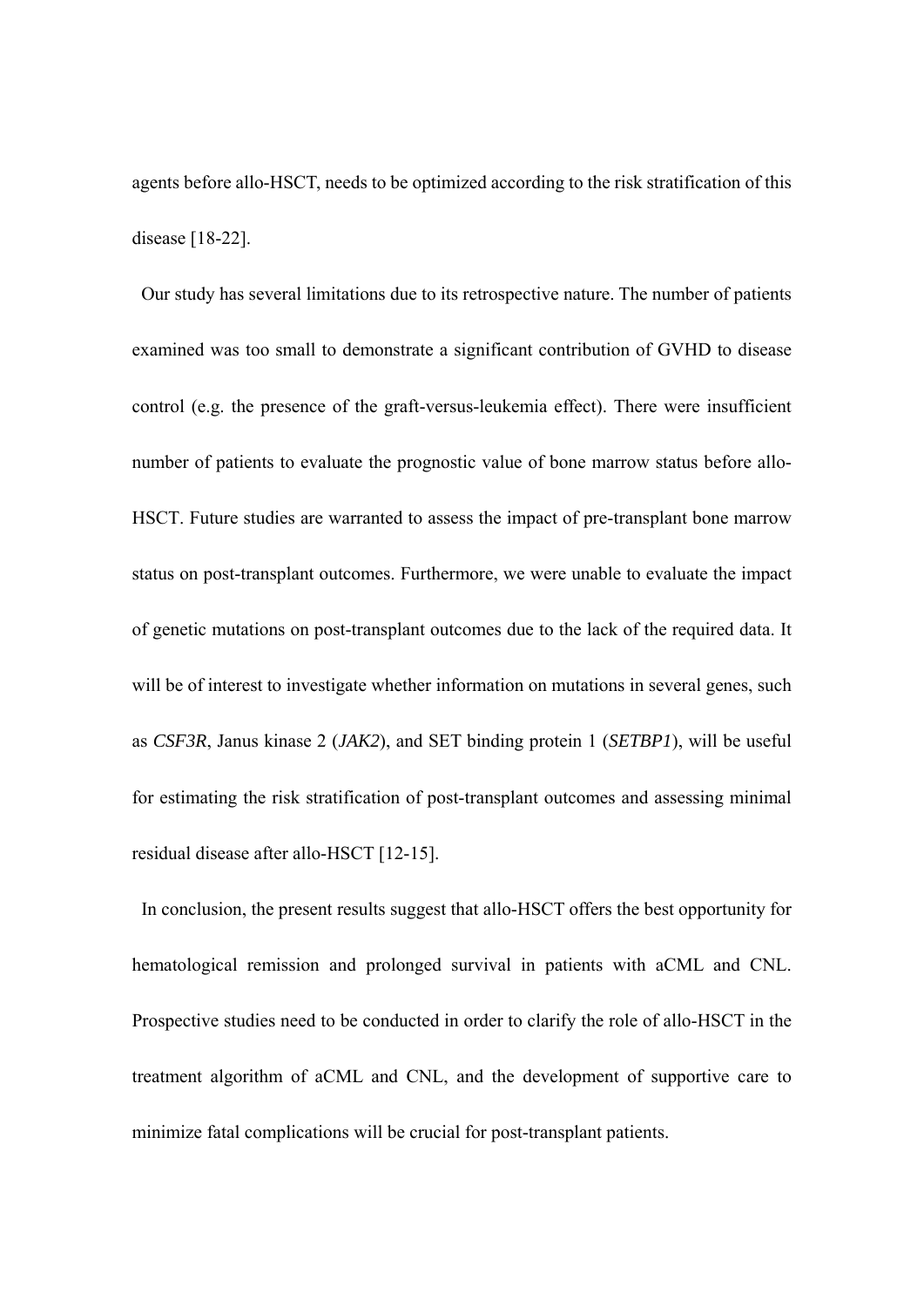agents before allo-HSCT, needs to be optimized according to the risk stratification of this disease [18-22].

Our study has several limitations due to its retrospective nature. The number of patients examined was too small to demonstrate a significant contribution of GVHD to disease control (e.g. the presence of the graft-versus-leukemia effect). There were insufficient number of patients to evaluate the prognostic value of bone marrow status before allo-HSCT. Future studies are warranted to assess the impact of pre-transplant bone marrow status on post-transplant outcomes. Furthermore, we were unable to evaluate the impact of genetic mutations on post-transplant outcomes due to the lack of the required data. It will be of interest to investigate whether information on mutations in several genes, such as *CSF3R*, Janus kinase 2 (*JAK2*), and SET binding protein 1 (*SETBP1*), will be useful for estimating the risk stratification of post-transplant outcomes and assessing minimal residual disease after allo-HSCT [12-15].

 In conclusion, the present results suggest that allo-HSCT offers the best opportunity for hematological remission and prolonged survival in patients with aCML and CNL. Prospective studies need to be conducted in order to clarify the role of allo-HSCT in the treatment algorithm of aCML and CNL, and the development of supportive care to minimize fatal complications will be crucial for post-transplant patients.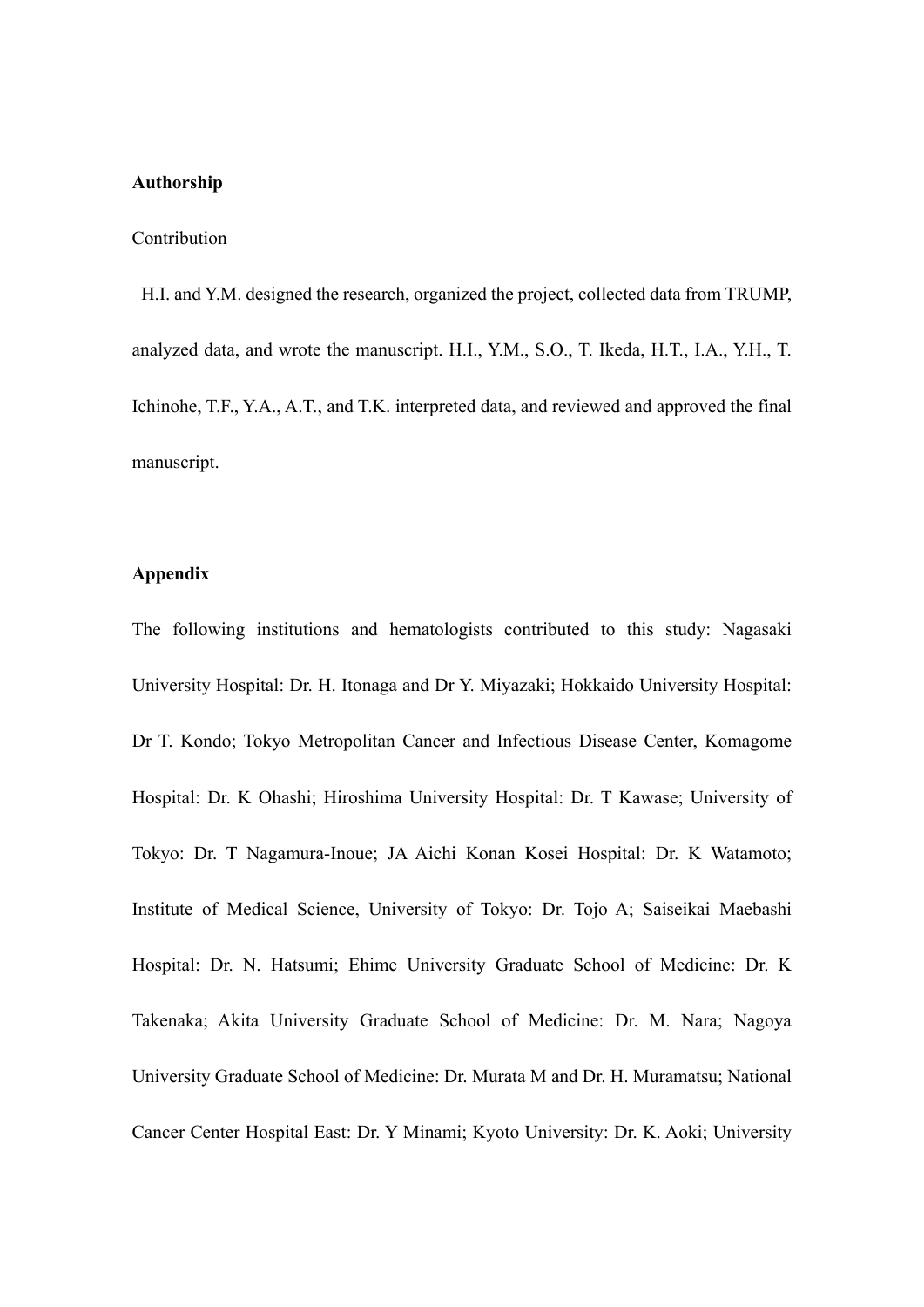# **Authorship**

### Contribution

H.I. and Y.M. designed the research, organized the project, collected data from TRUMP, analyzed data, and wrote the manuscript. H.I., Y.M., S.O., T. Ikeda, H.T., I.A., Y.H., T. Ichinohe, T.F., Y.A., A.T., and T.K. interpreted data, and reviewed and approved the final manuscript.

# **Appendix**

The following institutions and hematologists contributed to this study: Nagasaki University Hospital: Dr. H. Itonaga and Dr Y. Miyazaki; Hokkaido University Hospital: Dr T. Kondo; Tokyo Metropolitan Cancer and Infectious Disease Center, Komagome Hospital: Dr. K Ohashi; Hiroshima University Hospital: Dr. T Kawase; University of Tokyo: Dr. T Nagamura-Inoue; JA Aichi Konan Kosei Hospital: Dr. K Watamoto; Institute of Medical Science, University of Tokyo: Dr. Tojo A; Saiseikai Maebashi Hospital: Dr. N. Hatsumi; Ehime University Graduate School of Medicine: Dr. K Takenaka; Akita University Graduate School of Medicine: Dr. M. Nara; Nagoya University Graduate School of Medicine: Dr. Murata M and Dr. H. Muramatsu; National Cancer Center Hospital East: Dr. Y Minami; Kyoto University: Dr. K. Aoki; University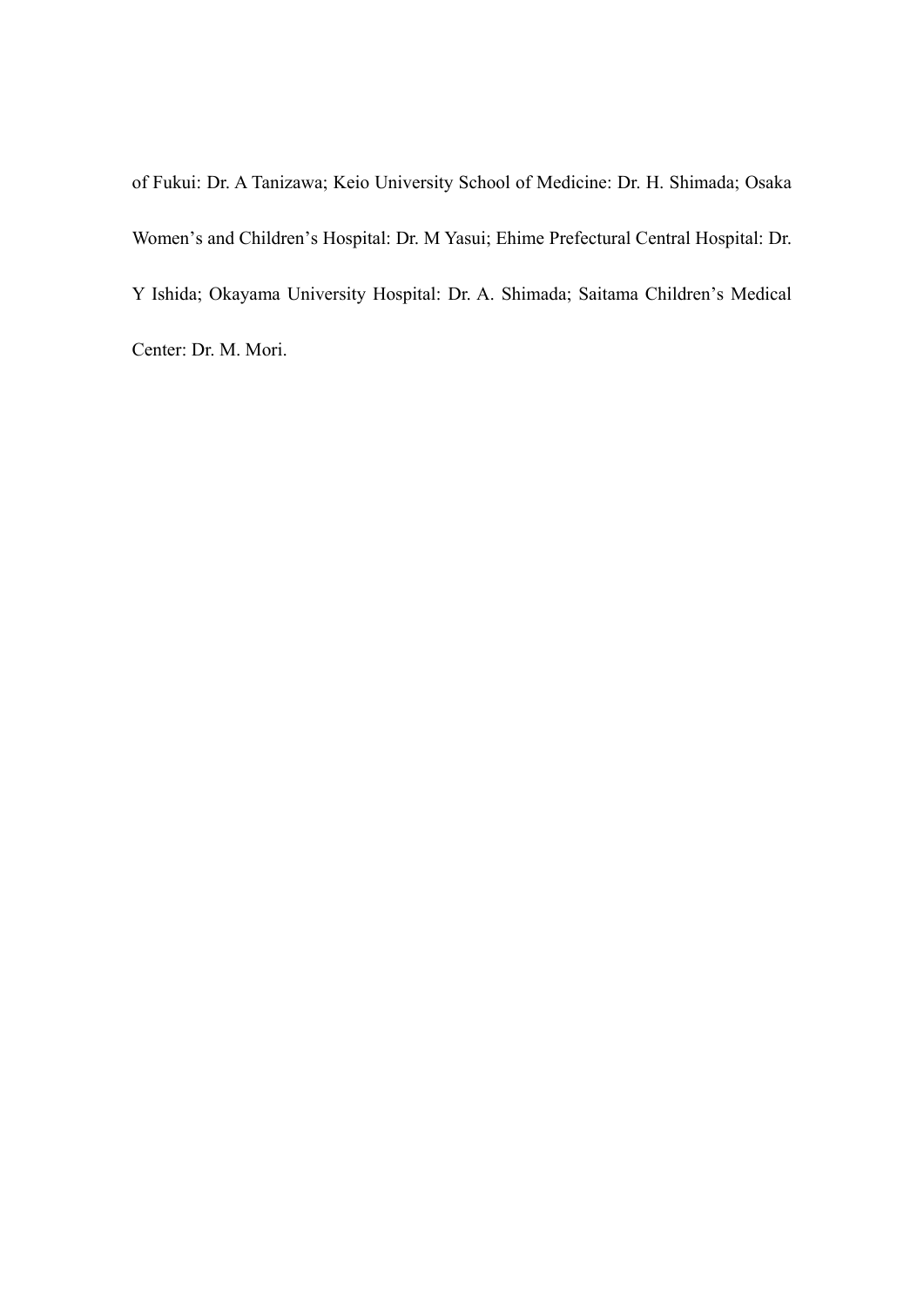of Fukui: Dr. A Tanizawa; Keio University School of Medicine: Dr. H. Shimada; Osaka Women's and Children's Hospital: Dr. M Yasui; Ehime Prefectural Central Hospital: Dr. Y Ishida; Okayama University Hospital: Dr. A. Shimada; Saitama Children's Medical Center: Dr. M. Mori.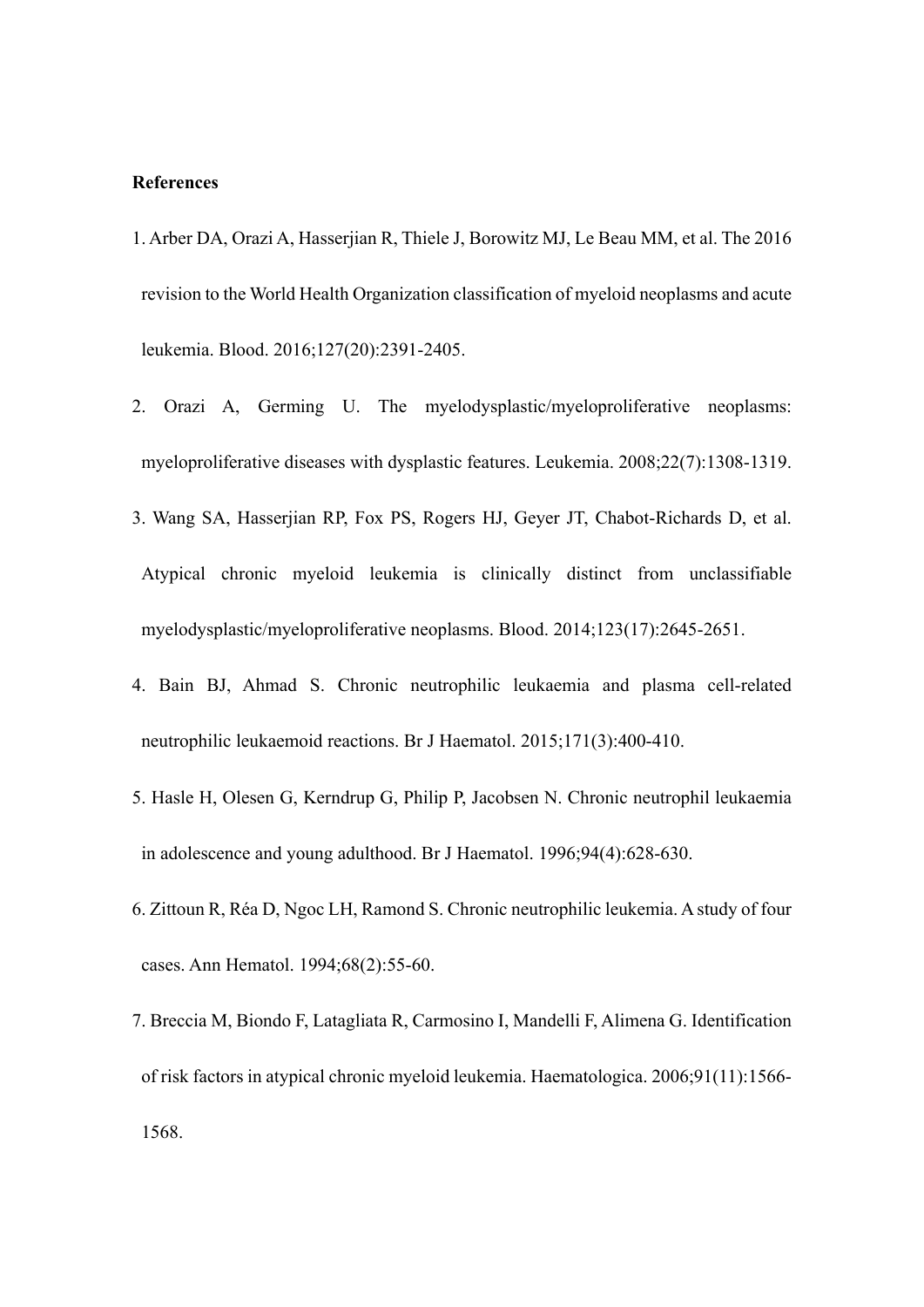# **References**

- 1. Arber DA, Orazi A, Hasserjian R, Thiele J, Borowitz MJ, Le Beau MM, et al. The 2016 revision to the World Health Organization classification of myeloid neoplasms and acute leukemia. Blood. 2016;127(20):2391-2405.
- 2. Orazi A, Germing U. The myelodysplastic/myeloproliferative neoplasms: myeloproliferative diseases with dysplastic features. Leukemia. 2008;22(7):1308-1319.
- 3. Wang SA, Hasserjian RP, Fox PS, Rogers HJ, Geyer JT, Chabot-Richards D, et al. Atypical chronic myeloid leukemia is clinically distinct from unclassifiable myelodysplastic/myeloproliferative neoplasms. Blood. 2014;123(17):2645-2651.
- 4. Bain BJ, Ahmad S. Chronic neutrophilic leukaemia and plasma cell-related neutrophilic leukaemoid reactions. Br J Haematol. 2015;171(3):400-410.
- 5. Hasle H, Olesen G, Kerndrup G, Philip P, Jacobsen N. Chronic neutrophil leukaemia in adolescence and young adulthood. Br J Haematol. 1996;94(4):628-630.
- 6. Zittoun R, Réa D, Ngoc LH, Ramond S. Chronic neutrophilic leukemia. A study of four cases. Ann Hematol. 1994;68(2):55-60.
- 7. Breccia M, Biondo F, Latagliata R, Carmosino I, Mandelli F, Alimena G. Identification of risk factors in atypical chronic myeloid leukemia. Haematologica. 2006;91(11):1566- 1568.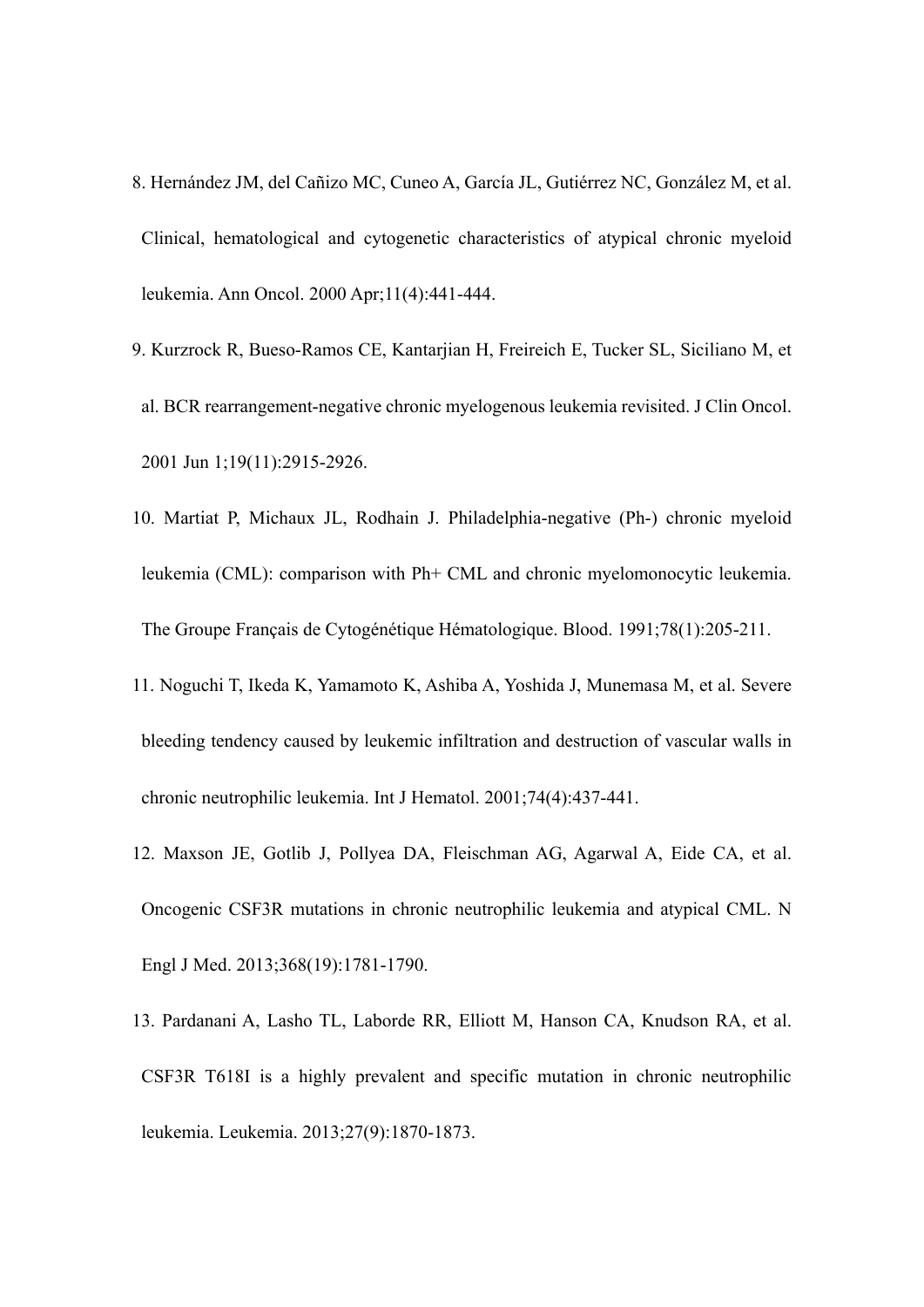- 8. Hernández JM, del Cañizo MC, Cuneo A, García JL, Gutiérrez NC, González M, et al. Clinical, hematological and cytogenetic characteristics of atypical chronic myeloid leukemia. Ann Oncol. 2000 Apr;11(4):441-444.
- 9. Kurzrock R, Bueso-Ramos CE, Kantarjian H, Freireich E, Tucker SL, Siciliano M, et al. BCR rearrangement-negative chronic myelogenous leukemia revisited. J Clin Oncol. 2001 Jun 1;19(11):2915-2926.
- 10. Martiat P, Michaux JL, Rodhain J. Philadelphia-negative (Ph-) chronic myeloid leukemia (CML): comparison with Ph+ CML and chronic myelomonocytic leukemia. The Groupe Français de Cytogénétique Hématologique. Blood. 1991;78(1):205-211.
- 11. Noguchi T, Ikeda K, Yamamoto K, Ashiba A, Yoshida J, Munemasa M, et al. Severe bleeding tendency caused by leukemic infiltration and destruction of vascular walls in chronic neutrophilic leukemia. Int J Hematol. 2001;74(4):437-441.
- 12. Maxson JE, Gotlib J, Pollyea DA, Fleischman AG, Agarwal A, Eide CA, et al. Oncogenic CSF3R mutations in chronic neutrophilic leukemia and atypical CML. N Engl J Med. 2013;368(19):1781-1790.
- 13. Pardanani A, Lasho TL, Laborde RR, Elliott M, Hanson CA, Knudson RA, et al. CSF3R T618I is a highly prevalent and specific mutation in chronic neutrophilic leukemia. Leukemia. 2013;27(9):1870-1873.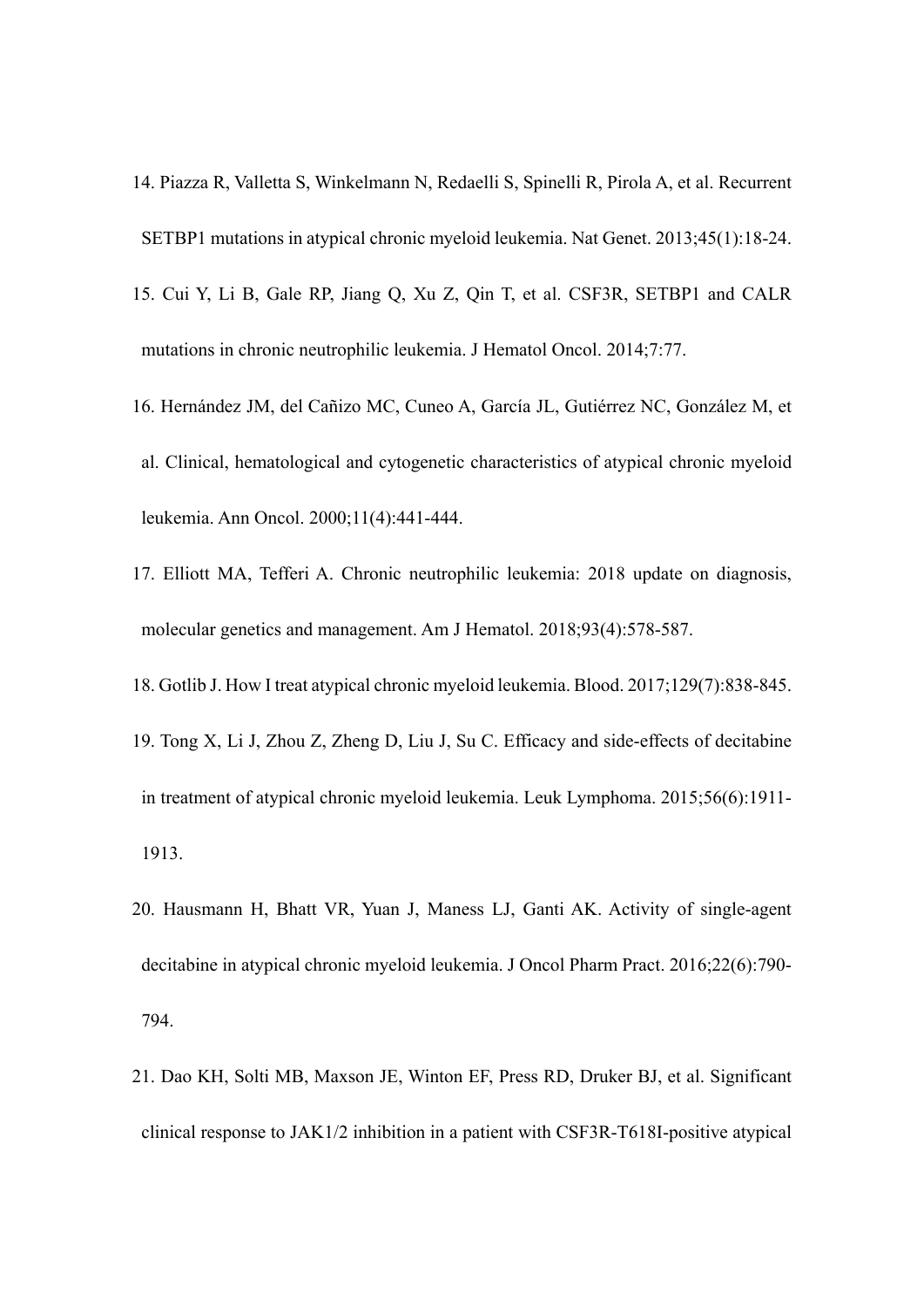- 14. Piazza R, Valletta S, Winkelmann N, Redaelli S, Spinelli R, Pirola A, et al. Recurrent SETBP1 mutations in atypical chronic myeloid leukemia. Nat Genet. 2013;45(1):18-24.
- 15. Cui Y, Li B, Gale RP, Jiang Q, Xu Z, Qin T, et al. CSF3R, SETBP1 and CALR mutations in chronic neutrophilic leukemia. J Hematol Oncol. 2014;7:77.
- 16. Hernández JM, del Cañizo MC, Cuneo A, García JL, Gutiérrez NC, González M, et al. Clinical, hematological and cytogenetic characteristics of atypical chronic myeloid leukemia. Ann Oncol. 2000;11(4):441-444.
- 17. Elliott MA, Tefferi A. Chronic neutrophilic leukemia: 2018 update on diagnosis, molecular genetics and management. Am J Hematol. 2018;93(4):578-587.
- 18. Gotlib J. How I treat atypical chronic myeloid leukemia. Blood. 2017;129(7):838-845.
- 19. Tong X, Li J, Zhou Z, Zheng D, Liu J, Su C. Efficacy and side-effects of decitabine in treatment of atypical chronic myeloid leukemia. Leuk Lymphoma. 2015;56(6):1911- 1913.
- 20. Hausmann H, Bhatt VR, Yuan J, Maness LJ, Ganti AK. Activity of single-agent decitabine in atypical chronic myeloid leukemia. J Oncol Pharm Pract. 2016;22(6):790- 794.
- 21. Dao KH, Solti MB, Maxson JE, Winton EF, Press RD, Druker BJ, et al. Significant clinical response to JAK1/2 inhibition in a patient with CSF3R-T618I-positive atypical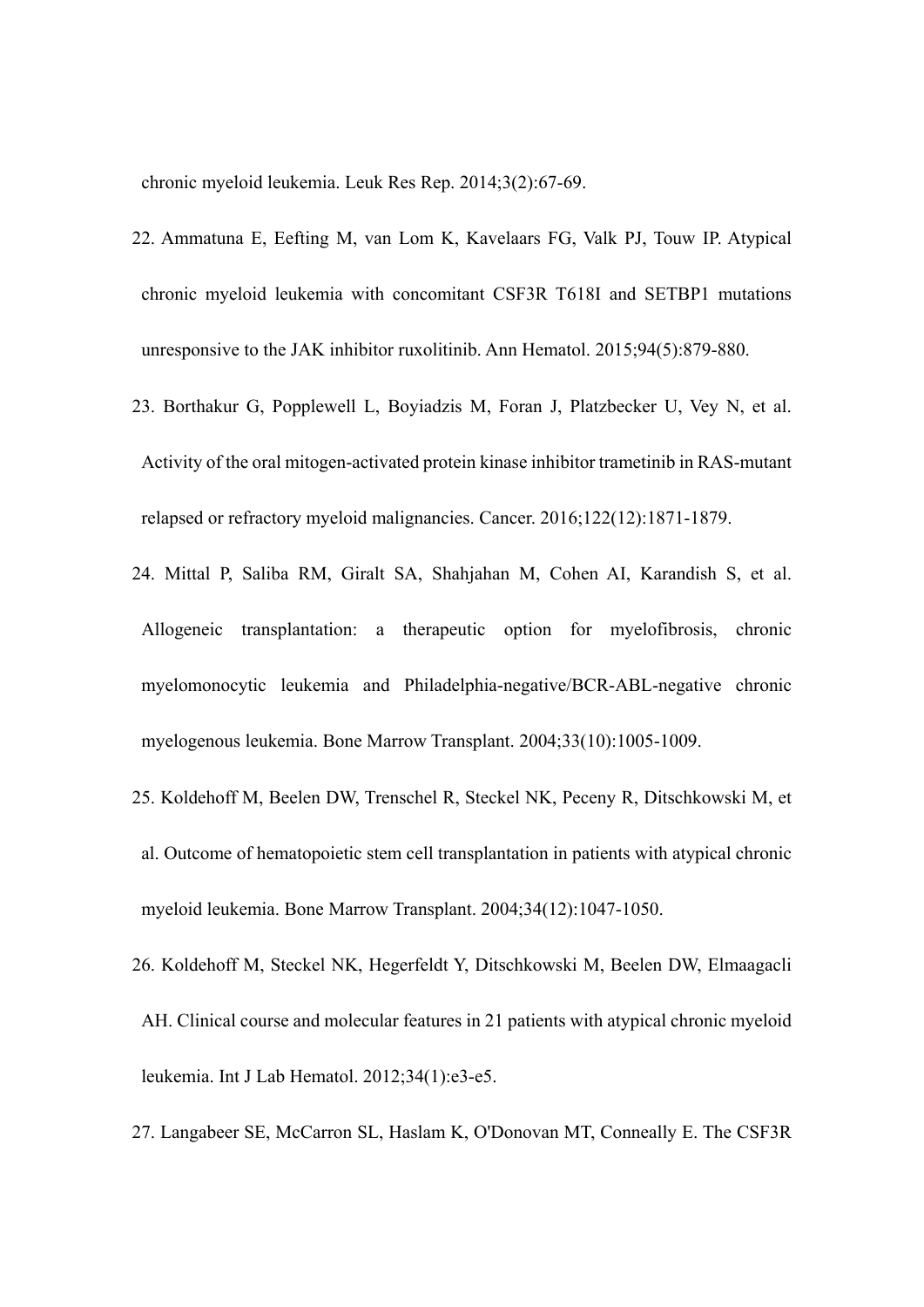chronic myeloid leukemia. Leuk Res Rep. 2014;3(2):67-69.

- 22. Ammatuna E, Eefting M, van Lom K, Kavelaars FG, Valk PJ, Touw IP. Atypical chronic myeloid leukemia with concomitant CSF3R T618I and SETBP1 mutations unresponsive to the JAK inhibitor ruxolitinib. Ann Hematol. 2015;94(5):879-880.
- 23. Borthakur G, Popplewell L, Boyiadzis M, Foran J, Platzbecker U, Vey N, et al. Activity of the oral mitogen-activated protein kinase inhibitor trametinib in RAS-mutant relapsed or refractory myeloid malignancies. Cancer. 2016;122(12):1871-1879.
- 24. Mittal P, Saliba RM, Giralt SA, Shahjahan M, Cohen AI, Karandish S, et al. Allogeneic transplantation: a therapeutic option for myelofibrosis, chronic myelomonocytic leukemia and Philadelphia-negative/BCR-ABL-negative chronic myelogenous leukemia. Bone Marrow Transplant. 2004;33(10):1005-1009.
- 25. Koldehoff M, Beelen DW, Trenschel R, Steckel NK, Peceny R, Ditschkowski M, et al. Outcome of hematopoietic stem cell transplantation in patients with atypical chronic myeloid leukemia. Bone Marrow Transplant. 2004;34(12):1047-1050.
- 26. Koldehoff M, Steckel NK, Hegerfeldt Y, Ditschkowski M, Beelen DW, Elmaagacli AH. Clinical course and molecular features in 21 patients with atypical chronic myeloid leukemia. Int J Lab Hematol. 2012;34(1):e3-e5.
- 27. Langabeer SE, McCarron SL, Haslam K, O'Donovan MT, Conneally E. The CSF3R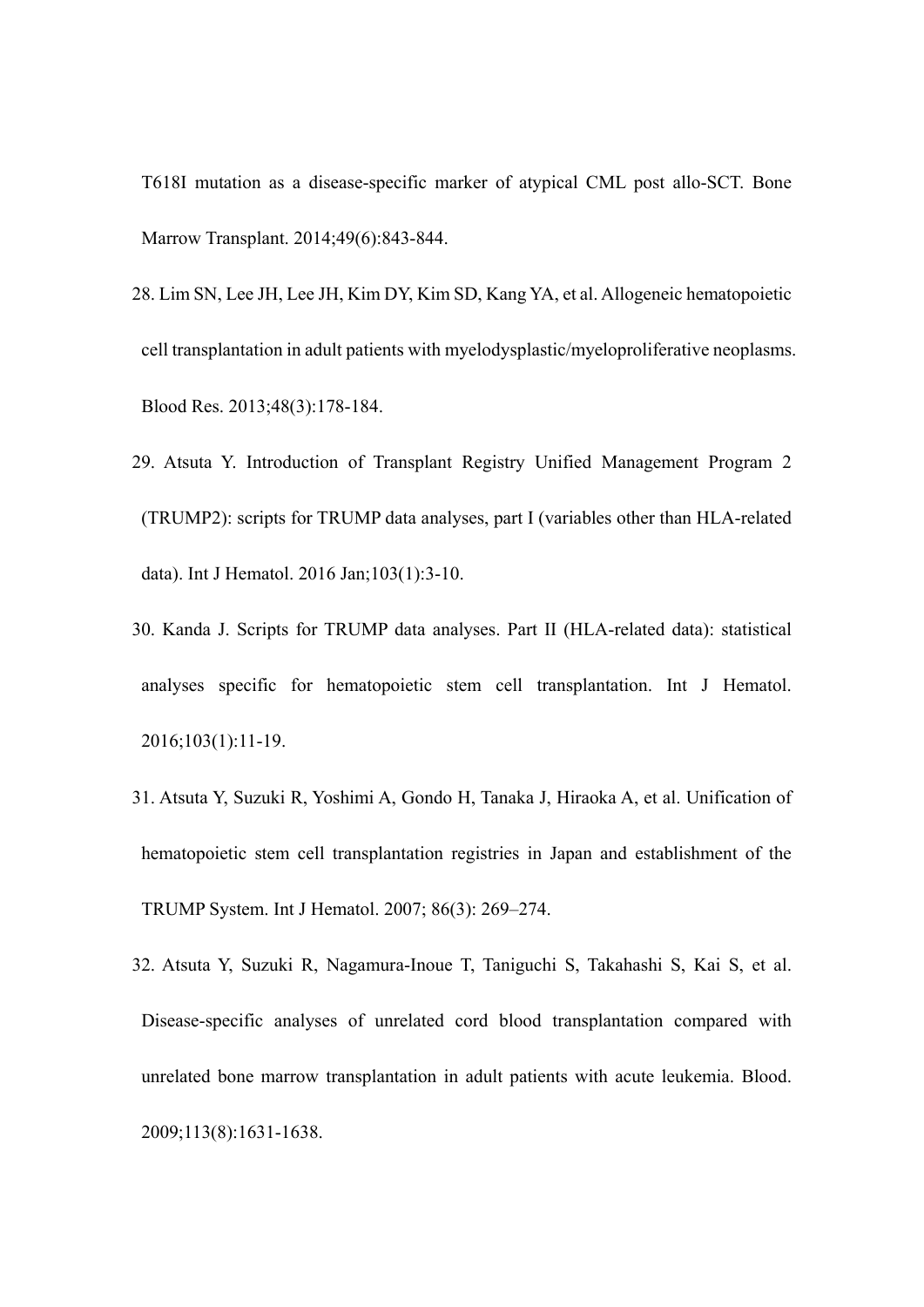T618I mutation as a disease-specific marker of atypical CML post allo-SCT. Bone Marrow Transplant. 2014;49(6):843-844.

- 28. Lim SN, Lee JH, Lee JH, Kim DY, Kim SD, Kang YA, et al. Allogeneic hematopoietic cell transplantation in adult patients with myelodysplastic/myeloproliferative neoplasms. Blood Res. 2013;48(3):178-184.
- 29. Atsuta Y. Introduction of Transplant Registry Unified Management Program 2 (TRUMP2): scripts for TRUMP data analyses, part I (variables other than HLA-related data). Int J Hematol. 2016 Jan;103(1):3-10.
- 30. Kanda J. Scripts for TRUMP data analyses. Part II (HLA-related data): statistical analyses specific for hematopoietic stem cell transplantation. Int J Hematol. 2016;103(1):11-19.
- 31. Atsuta Y, Suzuki R, Yoshimi A, Gondo H, Tanaka J, Hiraoka A, et al. Unification of hematopoietic stem cell transplantation registries in Japan and establishment of the TRUMP System. Int J Hematol. 2007; 86(3): 269–274.
- 32. Atsuta Y, Suzuki R, Nagamura-Inoue T, Taniguchi S, Takahashi S, Kai S, et al. Disease-specific analyses of unrelated cord blood transplantation compared with unrelated bone marrow transplantation in adult patients with acute leukemia. Blood. 2009;113(8):1631-1638.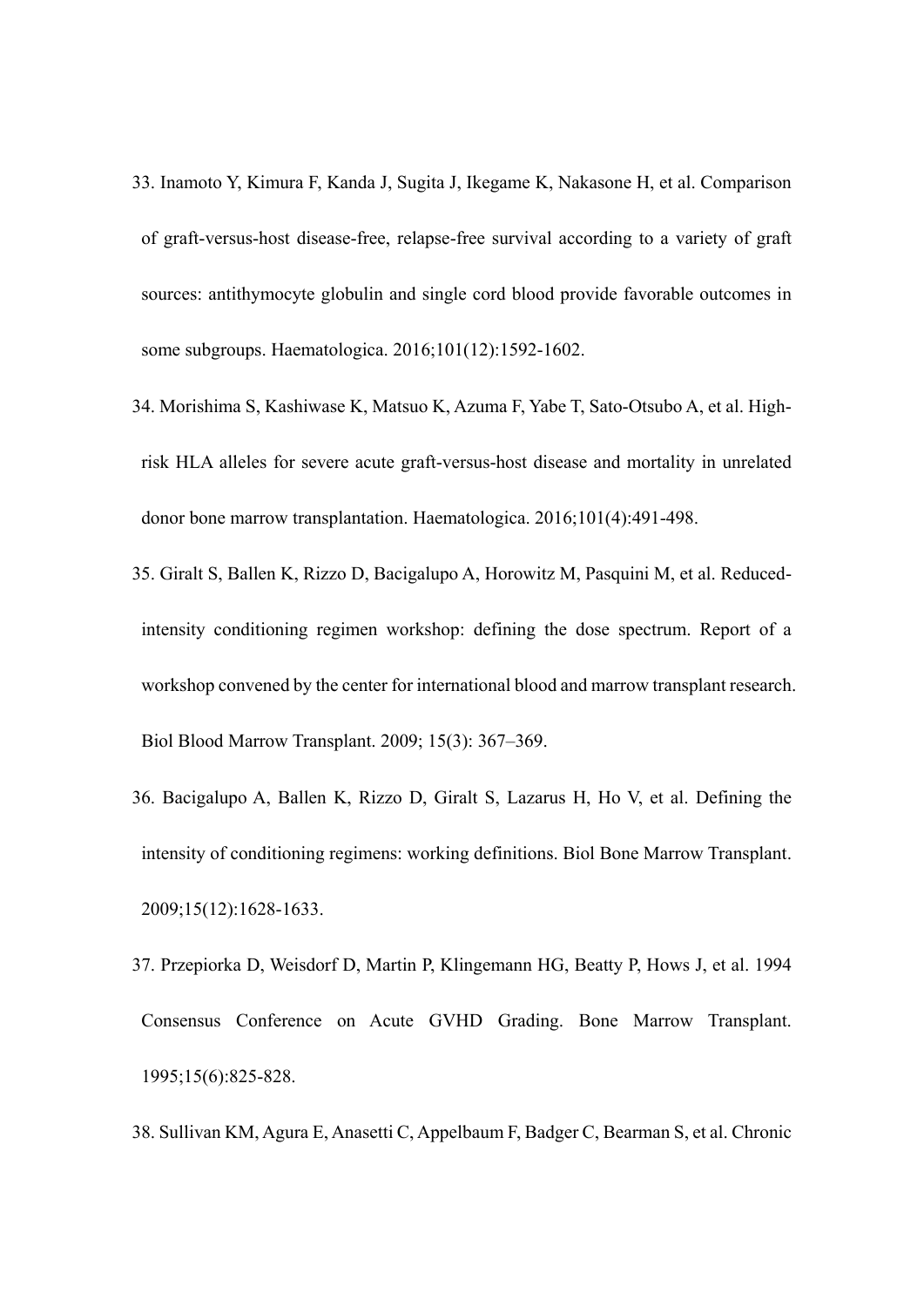- 33. Inamoto Y, Kimura F, Kanda J, Sugita J, Ikegame K, Nakasone H, et al. Comparison of graft-versus-host disease-free, relapse-free survival according to a variety of graft sources: antithymocyte globulin and single cord blood provide favorable outcomes in some subgroups. Haematologica. 2016;101(12):1592-1602.
- 34. Morishima S, Kashiwase K, Matsuo K, Azuma F, Yabe T, Sato-Otsubo A, et al. Highrisk HLA alleles for severe acute graft-versus-host disease and mortality in unrelated donor bone marrow transplantation. Haematologica. 2016;101(4):491-498.
- 35. Giralt S, Ballen K, Rizzo D, Bacigalupo A, Horowitz M, Pasquini M, et al. Reducedintensity conditioning regimen workshop: defining the dose spectrum. Report of a workshop convened by the center for international blood and marrow transplant research. Biol Blood Marrow Transplant. 2009; 15(3): 367–369.
- 36. Bacigalupo A, Ballen K, Rizzo D, Giralt S, Lazarus H, Ho V, et al. Defining the intensity of conditioning regimens: working definitions. Biol Bone Marrow Transplant. 2009;15(12):1628-1633.
- 37. Przepiorka D, Weisdorf D, Martin P, Klingemann HG, Beatty P, Hows J, et al. 1994 Consensus Conference on Acute GVHD Grading. Bone Marrow Transplant. 1995;15(6):825-828.
- 38. Sullivan KM, Agura E, Anasetti C, Appelbaum F, Badger C, Bearman S, et al. Chronic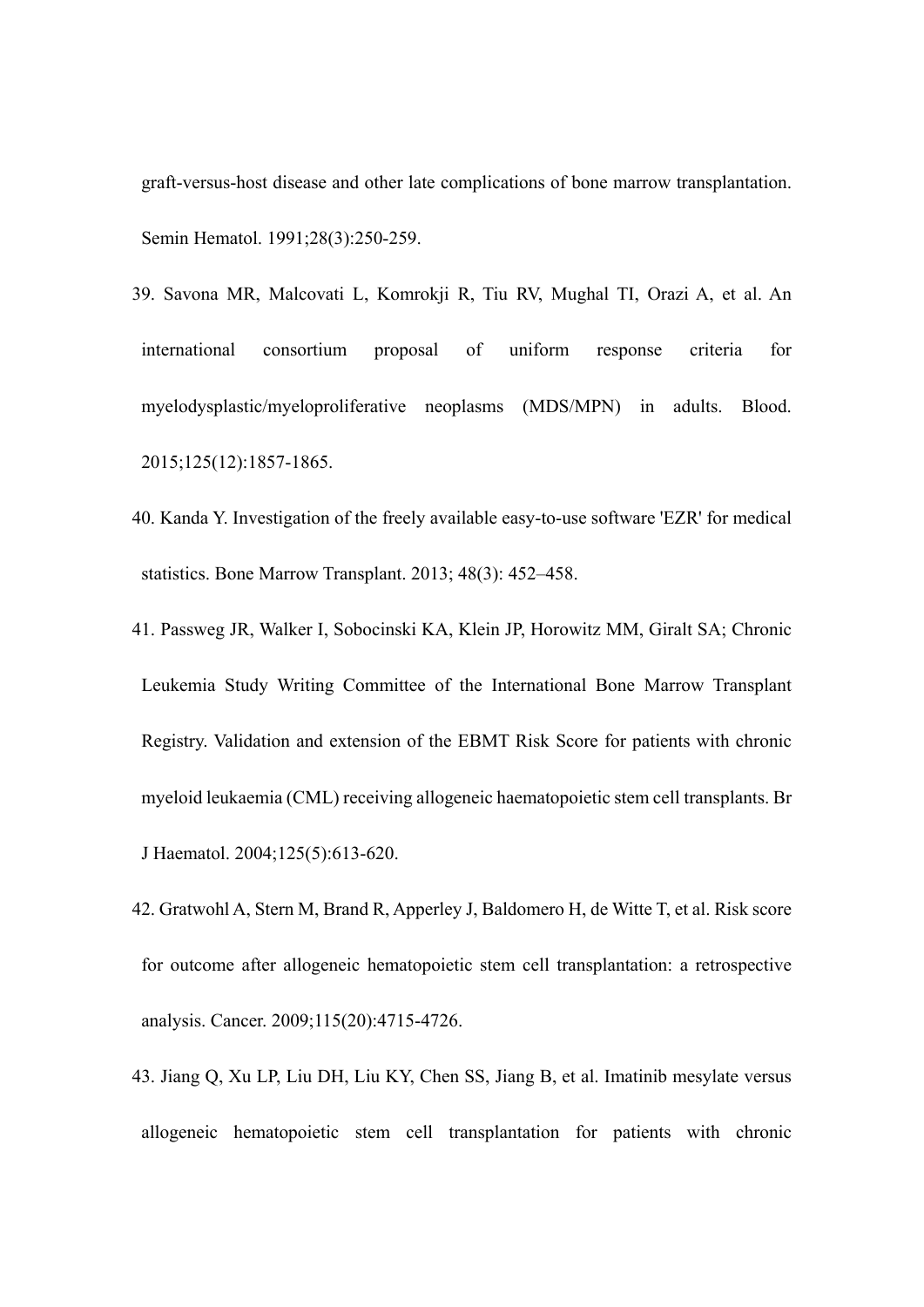graft-versus-host disease and other late complications of bone marrow transplantation. Semin Hematol. 1991;28(3):250-259.

- 39. Savona MR, Malcovati L, Komrokji R, Tiu RV, Mughal TI, Orazi A, et al. An international consortium proposal of uniform response criteria for myelodysplastic/myeloproliferative neoplasms (MDS/MPN) in adults. Blood. 2015;125(12):1857-1865.
- 40. Kanda Y. Investigation of the freely available easy-to-use software 'EZR' for medical statistics. Bone Marrow Transplant. 2013; 48(3): 452–458.
- 41. Passweg JR, Walker I, Sobocinski KA, Klein JP, Horowitz MM, Giralt SA; Chronic Leukemia Study Writing Committee of the International Bone Marrow Transplant Registry. Validation and extension of the EBMT Risk Score for patients with chronic myeloid leukaemia (CML) receiving allogeneic haematopoietic stem cell transplants. Br J Haematol. 2004;125(5):613-620.
- 42. Gratwohl A, Stern M, Brand R, Apperley J, Baldomero H, de Witte T, et al. Risk score for outcome after allogeneic hematopoietic stem cell transplantation: a retrospective analysis. Cancer. 2009;115(20):4715-4726.
- 43. Jiang Q, Xu LP, Liu DH, Liu KY, Chen SS, Jiang B, et al. Imatinib mesylate versus allogeneic hematopoietic stem cell transplantation for patients with chronic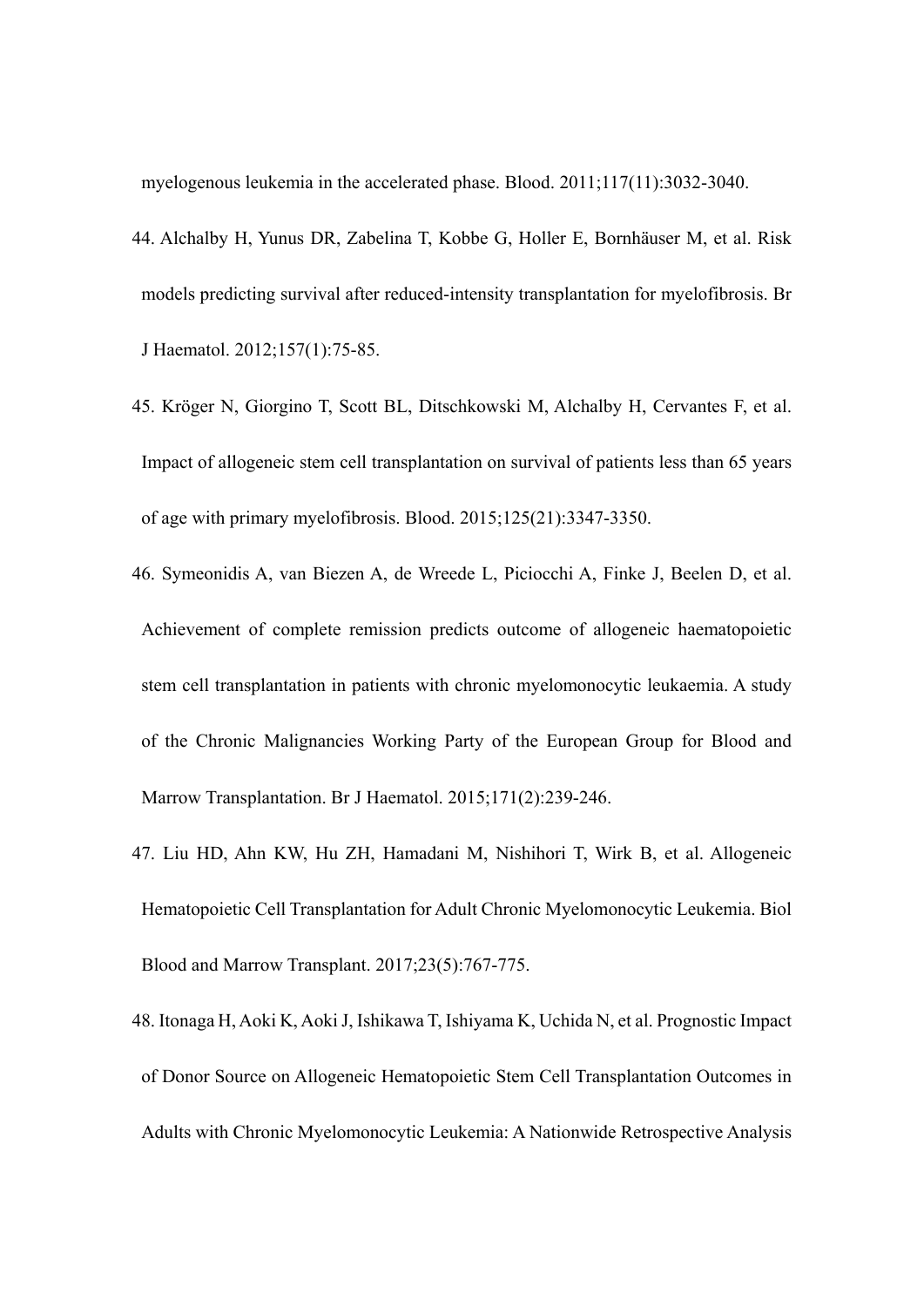myelogenous leukemia in the accelerated phase. Blood. 2011;117(11):3032-3040.

- 44. Alchalby H, Yunus DR, Zabelina T, Kobbe G, Holler E, Bornhäuser M, et al. Risk models predicting survival after reduced-intensity transplantation for myelofibrosis. Br J Haematol. 2012;157(1):75-85.
- 45. Kröger N, Giorgino T, Scott BL, Ditschkowski M, Alchalby H, Cervantes F, et al. Impact of allogeneic stem cell transplantation on survival of patients less than 65 years of age with primary myelofibrosis. Blood. 2015;125(21):3347-3350.
- 46. Symeonidis A, van Biezen A, de Wreede L, Piciocchi A, Finke J, Beelen D, et al. Achievement of complete remission predicts outcome of allogeneic haematopoietic stem cell transplantation in patients with chronic myelomonocytic leukaemia. A study of the Chronic Malignancies Working Party of the European Group for Blood and Marrow Transplantation. Br J Haematol. 2015;171(2):239-246.
- 47. Liu HD, Ahn KW, Hu ZH, Hamadani M, Nishihori T, Wirk B, et al. Allogeneic Hematopoietic Cell Transplantation for Adult Chronic Myelomonocytic Leukemia. Biol Blood and Marrow Transplant. 2017;23(5):767-775.
- 48. Itonaga H, Aoki K, Aoki J, Ishikawa T, Ishiyama K, Uchida N, et al. Prognostic Impact of Donor Source on Allogeneic Hematopoietic Stem Cell Transplantation Outcomes in Adults with Chronic Myelomonocytic Leukemia: A Nationwide Retrospective Analysis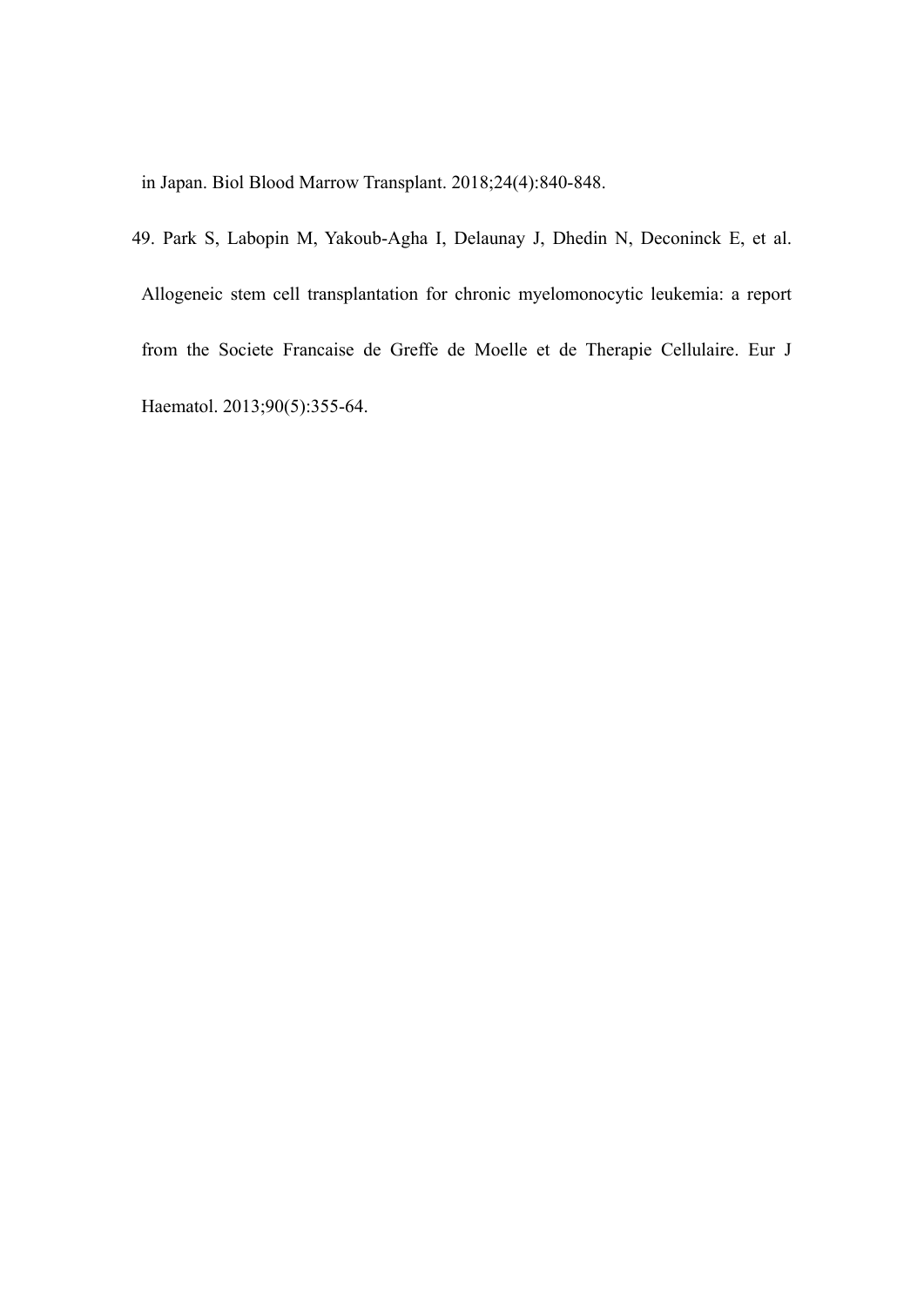in Japan. Biol Blood Marrow Transplant. 2018;24(4):840-848.

49. Park S, Labopin M, Yakoub-Agha I, Delaunay J, Dhedin N, Deconinck E, et al. Allogeneic stem cell transplantation for chronic myelomonocytic leukemia: a report from the Societe Francaise de Greffe de Moelle et de Therapie Cellulaire. Eur J Haematol. 2013;90(5):355-64.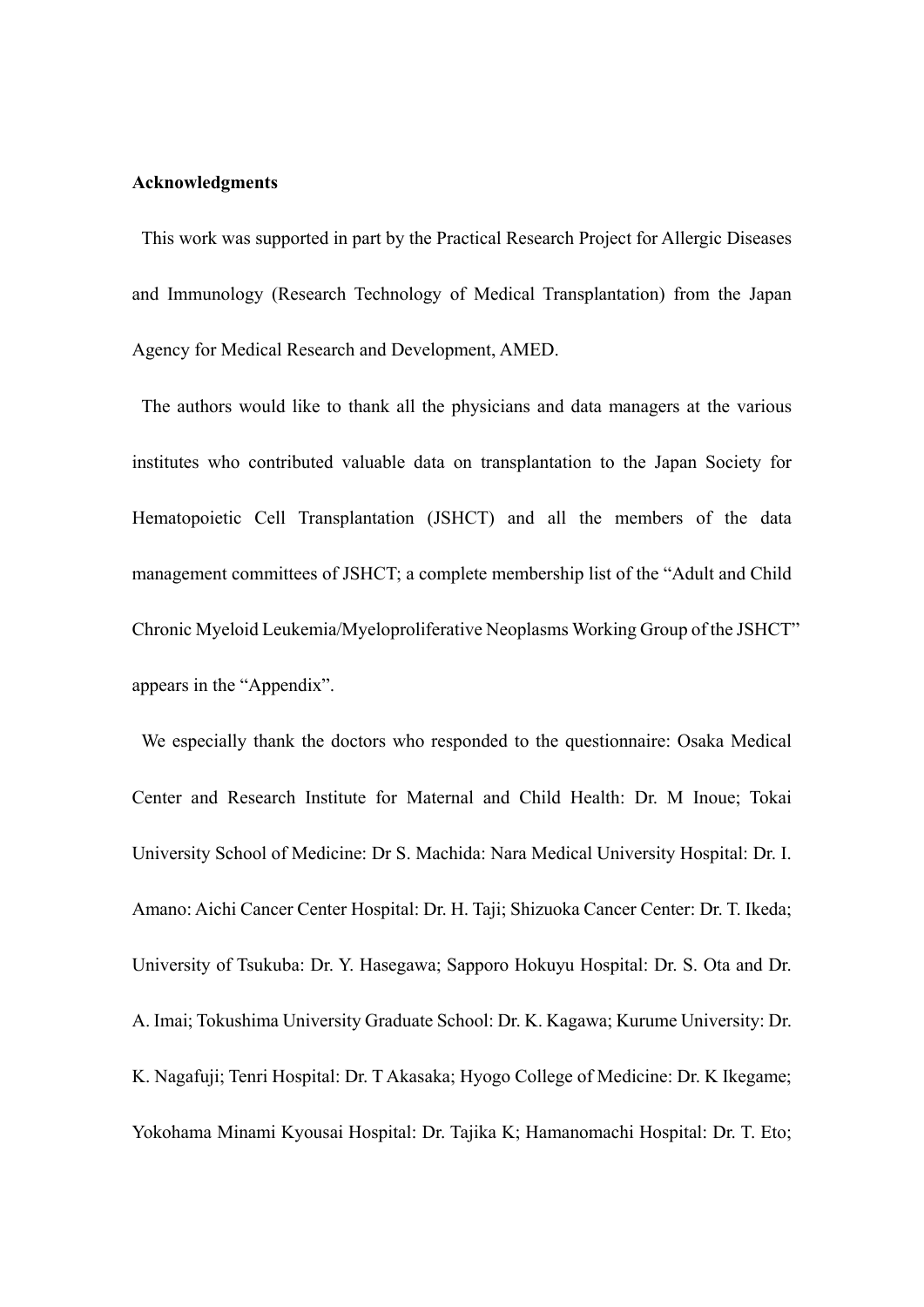# **Acknowledgments**

This work was supported in part by the Practical Research Project for Allergic Diseases and Immunology (Research Technology of Medical Transplantation) from the Japan Agency for Medical Research and Development, AMED.

The authors would like to thank all the physicians and data managers at the various institutes who contributed valuable data on transplantation to the Japan Society for Hematopoietic Cell Transplantation (JSHCT) and all the members of the data management committees of JSHCT; a complete membership list of the "Adult and Child Chronic Myeloid Leukemia/Myeloproliferative Neoplasms Working Group of the JSHCT" appears in the "Appendix".

We especially thank the doctors who responded to the questionnaire: Osaka Medical Center and Research Institute for Maternal and Child Health: Dr. M Inoue; Tokai University School of Medicine: Dr S. Machida: Nara Medical University Hospital: Dr. I. Amano: Aichi Cancer Center Hospital: Dr. H. Taji; Shizuoka Cancer Center: Dr. T. Ikeda; University of Tsukuba: Dr. Y. Hasegawa; Sapporo Hokuyu Hospital: Dr. S. Ota and Dr. A. Imai; Tokushima University Graduate School: Dr. K. Kagawa; Kurume University: Dr. K. Nagafuji; Tenri Hospital: Dr. T Akasaka; Hyogo College of Medicine: Dr. K Ikegame; Yokohama Minami Kyousai Hospital: Dr. Tajika K; Hamanomachi Hospital: Dr. T. Eto;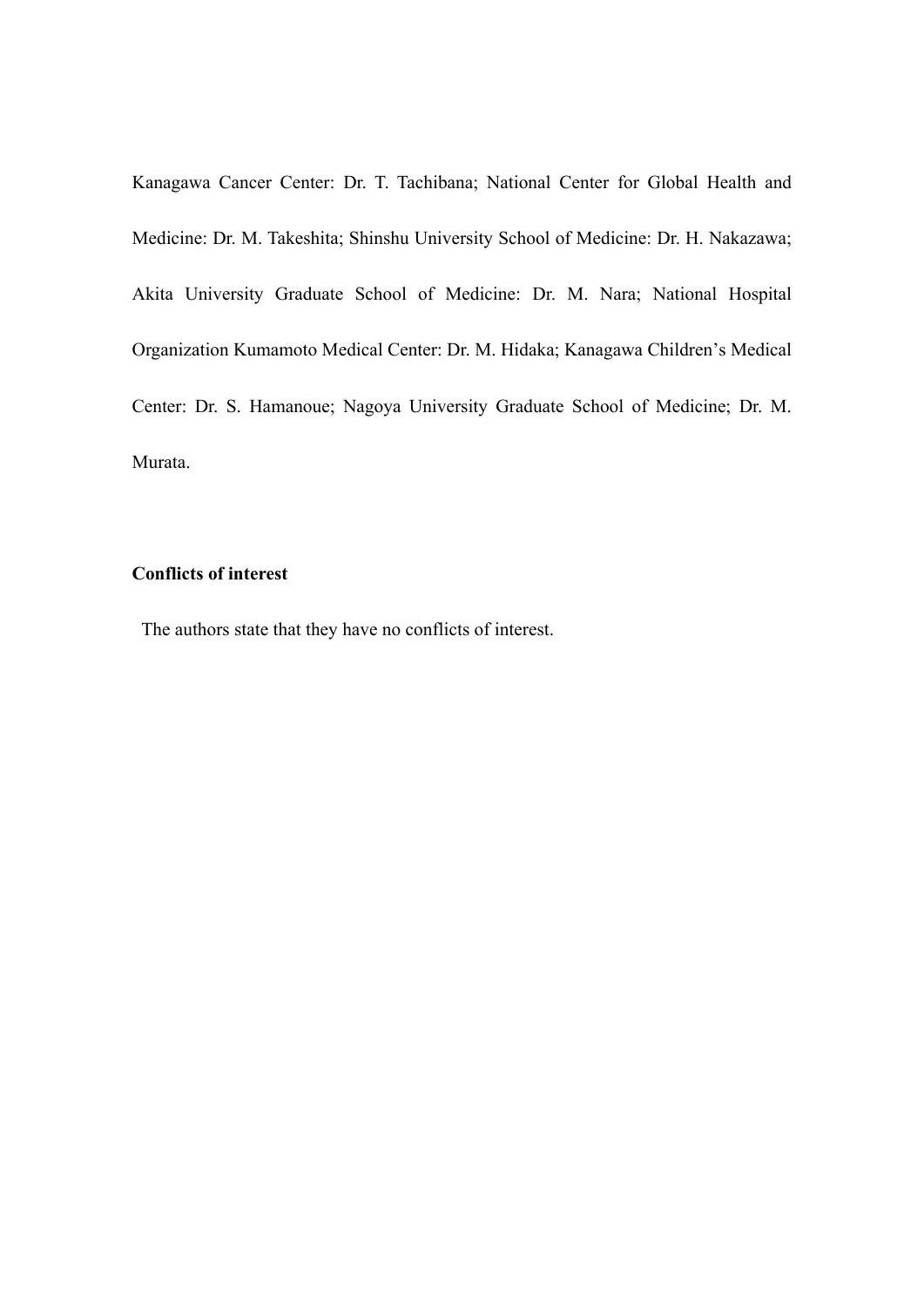Kanagawa Cancer Center: Dr. T. Tachibana; National Center for Global Health and Medicine: Dr. M. Takeshita; Shinshu University School of Medicine: Dr. H. Nakazawa; Akita University Graduate School of Medicine: Dr. M. Nara; National Hospital Organization Kumamoto Medical Center: Dr. M. Hidaka; Kanagawa Children's Medical Center: Dr. S. Hamanoue; Nagoya University Graduate School of Medicine; Dr. M. Murata.

# **Conflicts of interest**

The authors state that they have no conflicts of interest.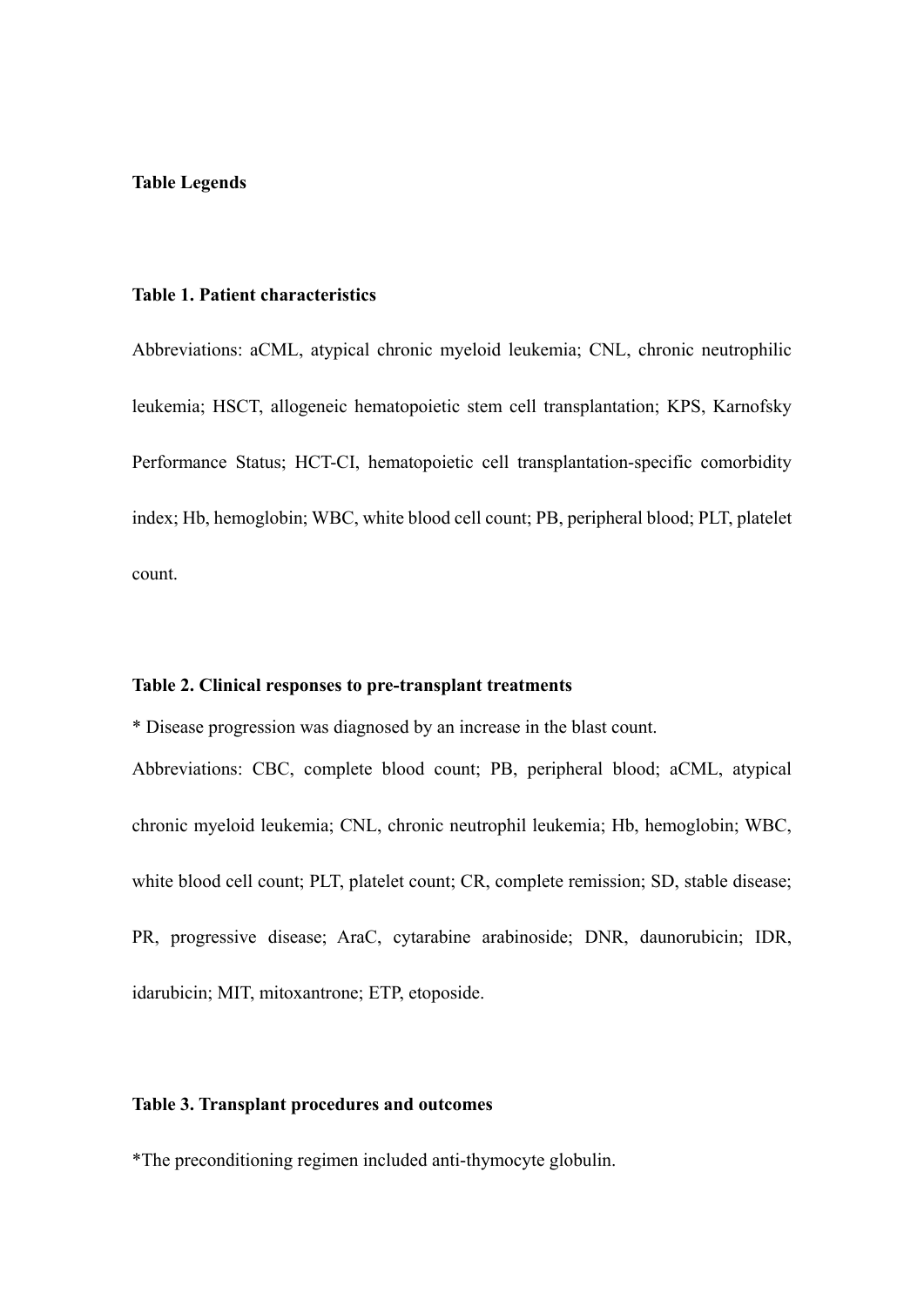# **Table Legends**

### **Table 1. Patient characteristics**

Abbreviations: aCML, atypical chronic myeloid leukemia; CNL, chronic neutrophilic leukemia; HSCT, allogeneic hematopoietic stem cell transplantation; KPS, Karnofsky Performance Status; HCT-CI, hematopoietic cell transplantation-specific comorbidity index; Hb, hemoglobin; WBC, white blood cell count; PB, peripheral blood; PLT, platelet count.

#### **Table 2. Clinical responses to pre-transplant treatments**

\* Disease progression was diagnosed by an increase in the blast count. Abbreviations: CBC, complete blood count; PB, peripheral blood; aCML, atypical chronic myeloid leukemia; CNL, chronic neutrophil leukemia; Hb, hemoglobin; WBC, white blood cell count; PLT, platelet count; CR, complete remission; SD, stable disease; PR, progressive disease; AraC, cytarabine arabinoside; DNR, daunorubicin; IDR, idarubicin; MIT, mitoxantrone; ETP, etoposide.

### **Table 3. Transplant procedures and outcomes**

\*The preconditioning regimen included anti-thymocyte globulin.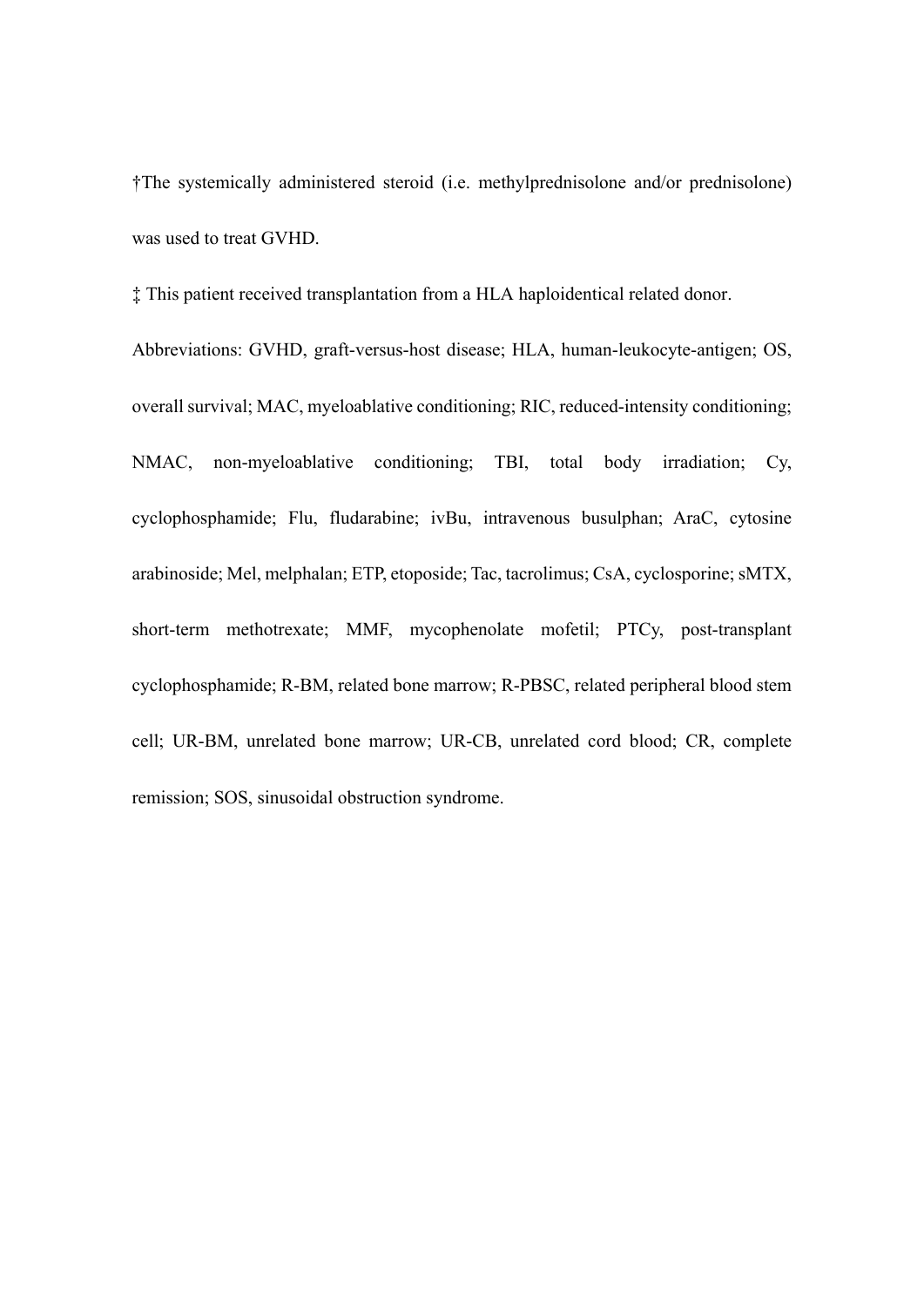†The systemically administered steroid (i.e. methylprednisolone and/or prednisolone) was used to treat GVHD.

‡ This patient received transplantation from a HLA haploidentical related donor.

Abbreviations: GVHD, graft-versus-host disease; HLA, human-leukocyte-antigen; OS, overall survival; MAC, myeloablative conditioning; RIC, reduced-intensity conditioning; NMAC, non-myeloablative conditioning; TBI, total body irradiation; Cy, cyclophosphamide; Flu, fludarabine; ivBu, intravenous busulphan; AraC, cytosine arabinoside; Mel, melphalan; ETP, etoposide; Tac, tacrolimus; CsA, cyclosporine; sMTX, short-term methotrexate; MMF, mycophenolate mofetil; PTCy, post-transplant cyclophosphamide; R-BM, related bone marrow; R-PBSC, related peripheral blood stem cell; UR-BM, unrelated bone marrow; UR-CB, unrelated cord blood; CR, complete remission; SOS, sinusoidal obstruction syndrome.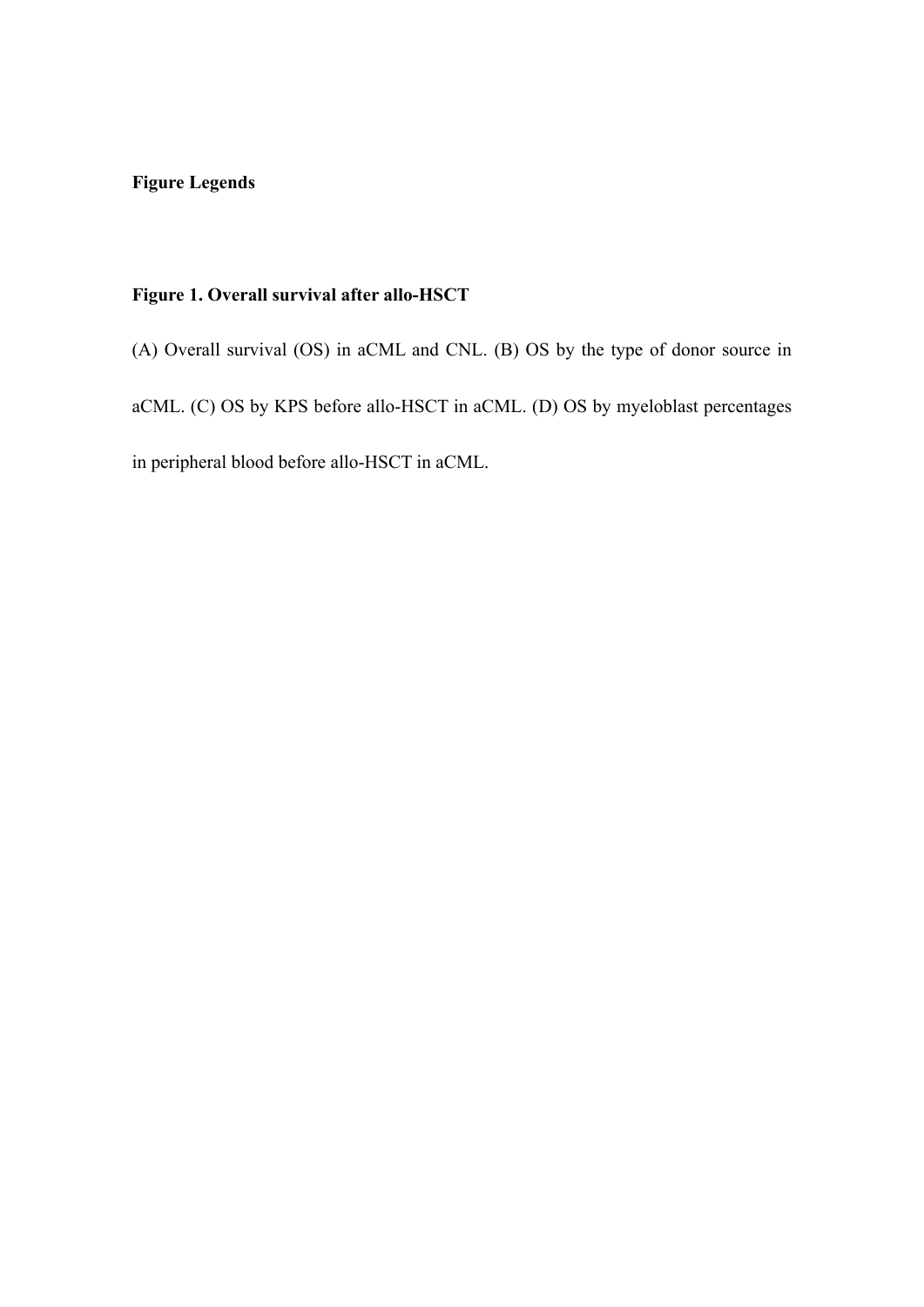# **Figure Legends**

# **Figure 1. Overall survival after allo-HSCT**

(A) Overall survival (OS) in aCML and CNL. (B) OS by the type of donor source in aCML. (C) OS by KPS before allo-HSCT in aCML. (D) OS by myeloblast percentages in peripheral blood before allo-HSCT in aCML.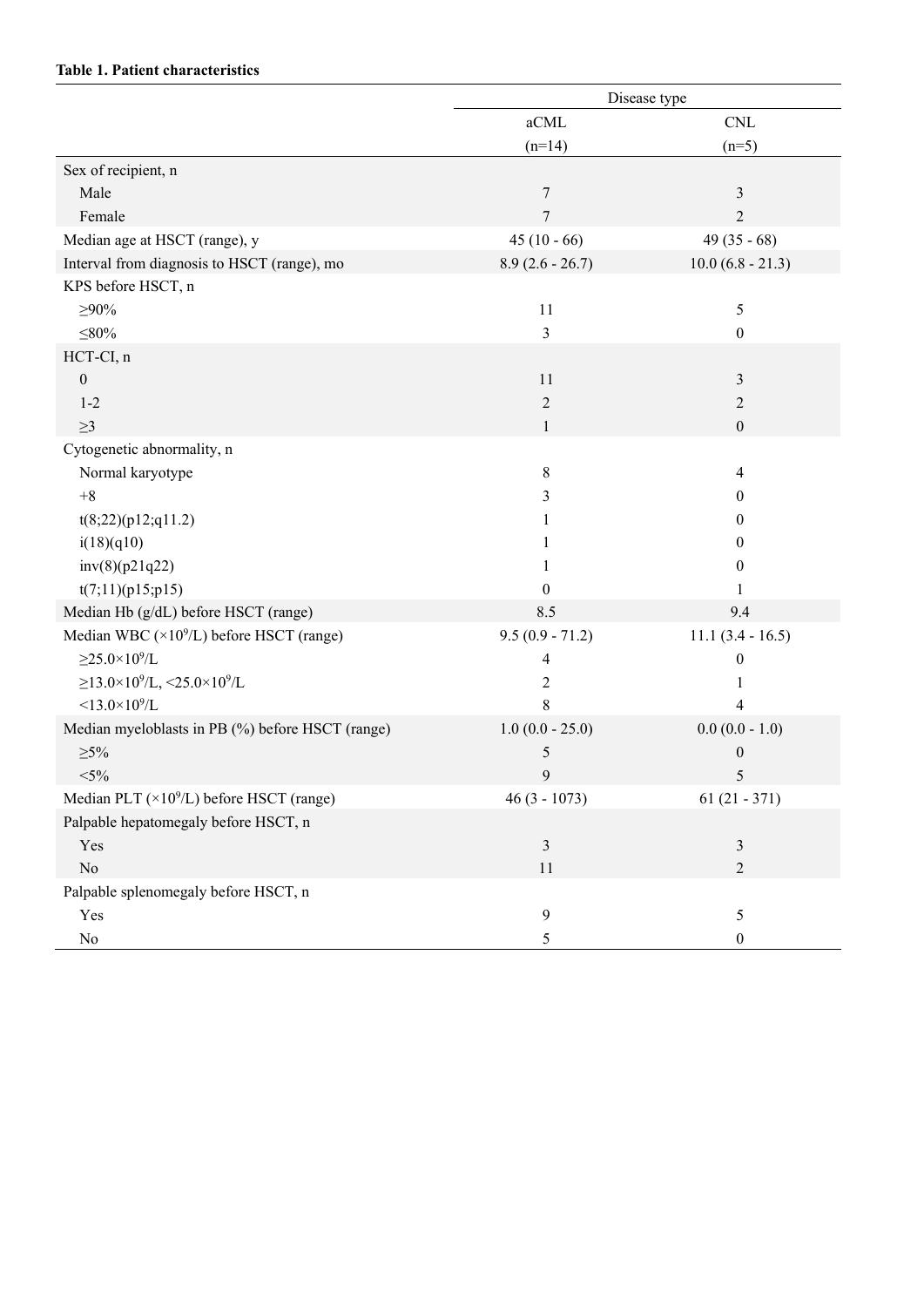# **Table 1. Patient characteristics**

|                                                               | Disease type      |                           |  |  |  |  |
|---------------------------------------------------------------|-------------------|---------------------------|--|--|--|--|
|                                                               | aCML              | $\ensuremath{\text{CNL}}$ |  |  |  |  |
|                                                               | $(n=14)$          | $(n=5)$                   |  |  |  |  |
| Sex of recipient, n                                           |                   |                           |  |  |  |  |
| Male                                                          | $\tau$            | 3                         |  |  |  |  |
| Female                                                        | $\overline{7}$    | $\overline{2}$            |  |  |  |  |
| Median age at HSCT (range), y                                 | $45(10-66)$       | 49 $(35 - 68)$            |  |  |  |  |
| Interval from diagnosis to HSCT (range), mo                   | $8.9(2.6 - 26.7)$ | $10.0 (6.8 - 21.3)$       |  |  |  |  |
| KPS before HSCT, n                                            |                   |                           |  |  |  |  |
| $\geq 90\%$                                                   | 11                | 5                         |  |  |  |  |
| $\leq 80\%$                                                   | 3                 | $\boldsymbol{0}$          |  |  |  |  |
| HCT-CI, n                                                     |                   |                           |  |  |  |  |
| $\boldsymbol{0}$                                              | 11                | 3                         |  |  |  |  |
| $1-2$                                                         | $\mathfrak{2}$    | $\overline{2}$            |  |  |  |  |
| $\geq$ 3                                                      | 1                 | $\boldsymbol{0}$          |  |  |  |  |
| Cytogenetic abnormality, n                                    |                   |                           |  |  |  |  |
| Normal karyotype                                              | 8                 | 4                         |  |  |  |  |
| $+8$                                                          | 3                 | $\boldsymbol{0}$          |  |  |  |  |
| t(8;22)(p12;q11.2)                                            | 1                 | $\bf{0}$                  |  |  |  |  |
| i(18)(q10)                                                    | 1                 | $\theta$                  |  |  |  |  |
| inv(8)(p21q22)                                                | 1                 | $\theta$                  |  |  |  |  |
| t(7;11)(p15;p15)                                              | $\boldsymbol{0}$  |                           |  |  |  |  |
| Median Hb (g/dL) before HSCT (range)                          | 8.5               | 9.4                       |  |  |  |  |
| Median WBC ( $\times$ 10 <sup>9</sup> /L) before HSCT (range) | $9.5(0.9 - 71.2)$ | $11.1 (3.4 - 16.5)$       |  |  |  |  |
| $\geq$ 25.0×10 <sup>9</sup> /L                                | 4                 | 0                         |  |  |  |  |
| $\geq$ 13.0×10 <sup>9</sup> /L, <25.0×10 <sup>9</sup> /L      | 2                 | 1                         |  |  |  |  |
| $< 13.0 \times 10^9$ /L                                       | $\,8\,$           | 4                         |  |  |  |  |
| Median myeloblasts in PB (%) before HSCT (range)              | $1.0(0.0 - 25.0)$ | $0.0(0.0 - 1.0)$          |  |  |  |  |
| $\geq 5\%$                                                    | 5                 | $\boldsymbol{0}$          |  |  |  |  |
| $<$ 5%                                                        | 9                 | 5                         |  |  |  |  |
| Median PLT $(\times 10^9$ /L) before HSCT (range)             | $46(3 - 1073)$    | $61(21 - 371)$            |  |  |  |  |
| Palpable hepatomegaly before HSCT, n                          |                   |                           |  |  |  |  |
| Yes                                                           | $\mathfrak{Z}$    | $\mathfrak{Z}$            |  |  |  |  |
| $\rm No$                                                      | 11                | $\overline{2}$            |  |  |  |  |
| Palpable splenomegaly before HSCT, n                          |                   |                           |  |  |  |  |
| Yes                                                           | 9                 | 5                         |  |  |  |  |
| No                                                            | 5                 | $\boldsymbol{0}$          |  |  |  |  |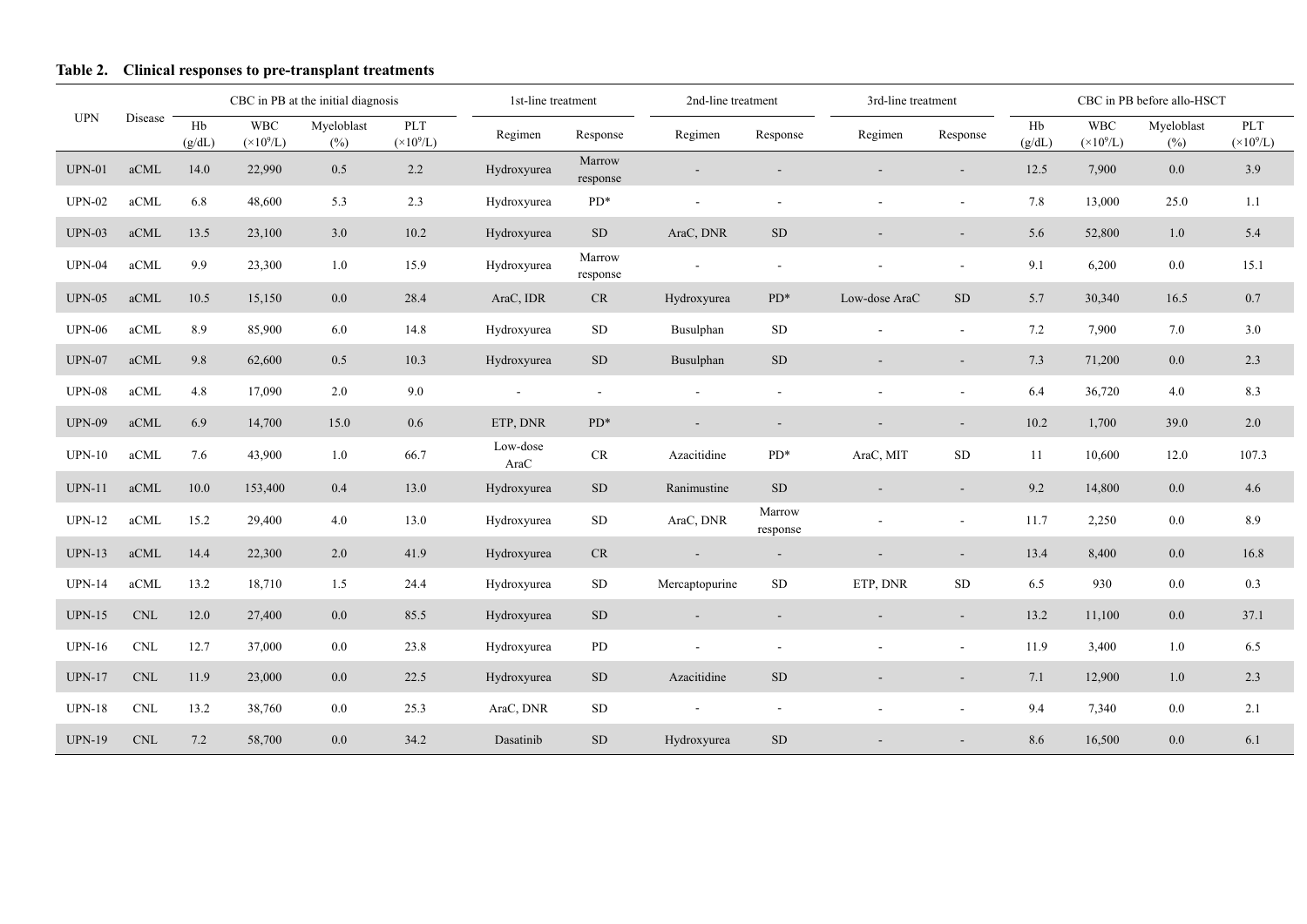# **Table 2. Clinical responses to pre-transplant treatments**

|               |                             |              | CBC in PB at the initial diagnosis |                   |                           | 1st-line treatment  |                    | 2nd-line treatment |                    | 3rd-line treatment |           | CBC in PB before allo-HSCT |                                  |                   |                           |
|---------------|-----------------------------|--------------|------------------------------------|-------------------|---------------------------|---------------------|--------------------|--------------------|--------------------|--------------------|-----------|----------------------------|----------------------------------|-------------------|---------------------------|
| <b>UPN</b>    | Disease                     | Hb<br>(g/dL) | <b>WBC</b><br>$(\times 10^9$ /L)   | Myeloblast<br>(%) | PLT<br>$(\times 10^9$ /L) | Regimen<br>Response |                    | Regimen            | Response           | Regimen            | Response  | Hb<br>(g/dL)               | <b>WBC</b><br>$(\times 10^9$ /L) | Myeloblast<br>(%) | PLT<br>$(\times 10^9$ /L) |
| $UPN-01$      | aCML                        | 14.0         | 22,990                             | 0.5               | 2.2                       | Hydroxyurea         | Marrow<br>response |                    |                    |                    |           | 12.5                       | 7,900                            | 0.0               | 3.9                       |
| <b>UPN-02</b> | aCML                        | 6.8          | 48,600                             | 5.3               | 2.3                       | Hydroxyurea         | $PD*$              |                    |                    |                    |           | 7.8                        | 13,000                           | 25.0              | 1.1                       |
| $UPN-03$      | aCML                        | 13.5         | 23,100                             | 3.0               | 10.2                      | Hydroxyurea         | <b>SD</b>          | AraC, DNR          | <b>SD</b>          |                    | $\sim$    | 5.6                        | 52,800                           | 1.0               | 5.4                       |
| $UPN-04$      | $\operatorname{aCML}$       | 9.9          | 23,300                             | 1.0               | 15.9                      | Hydroxyurea         | Marrow<br>response |                    |                    |                    |           | 9.1                        | 6,200                            | 0.0               | 15.1                      |
| $UPN-05$      | aCML                        | 10.5         | 15,150                             | $0.0\,$           | 28.4                      | AraC, IDR           | CR                 | Hydroxyurea        | $PD^*$             | Low-dose AraC      | <b>SD</b> | 5.7                        | 30,340                           | 16.5              | 0.7                       |
| <b>UPN-06</b> | aCML                        | 8.9          | 85,900                             | 6.0               | 14.8                      | Hydroxyurea         | SD                 | Busulphan          | SD                 |                    | $\sim$    | 7.2                        | 7,900                            | 7.0               | 3.0                       |
| $UPN-07$      | aCML                        | 9.8          | 62,600                             | 0.5               | 10.3                      | Hydroxyurea         | <b>SD</b>          | Busulphan          | <b>SD</b>          |                    |           | 7.3                        | 71,200                           | 0.0               | 2.3                       |
| $UPN-08$      | $\operatorname{aCML}$       | 4.8          | 17,090                             | 2.0               | 9.0                       | $\sim$              | $\mathbf{r}$       |                    |                    |                    |           | 6.4                        | 36,720                           | 4.0               | 8.3                       |
| <b>UPN-09</b> | aCML                        | 6.9          | 14,700                             | 15.0              | 0.6                       | ETP, DNR            | $PD*$              |                    |                    |                    |           | 10.2                       | 1,700                            | 39.0              | 2.0                       |
| $UPN-10$      | aCML                        | 7.6          | 43,900                             | 1.0               | 66.7                      | Low-dose<br>AraC    | CR                 | Azacitidine        | $PD^*$             | AraC, MIT          | <b>SD</b> | 11                         | 10,600                           | 12.0              | 107.3                     |
| $UPN-11$      | aCML                        | 10.0         | 153,400                            | 0.4               | 13.0                      | Hydroxyurea         | <b>SD</b>          | Ranimustine        | ${\rm SD}$         |                    |           | 9.2                        | 14,800                           | $0.0\,$           | 4.6                       |
| <b>UPN-12</b> | aCML                        | 15.2         | 29,400                             | 4.0               | 13.0                      | Hydroxyurea         | SD                 | AraC, DNR          | Marrow<br>response |                    |           | 11.7                       | 2,250                            | 0.0               | 8.9                       |
| $UPN-13$      | aCML                        | 14.4         | 22,300                             | 2.0               | 41.9                      | Hydroxyurea         | CR                 |                    |                    |                    |           | 13.4                       | 8,400                            | $0.0\,$           | 16.8                      |
| $UPN-14$      | aCML                        | 13.2         | 18,710                             | 1.5               | 24.4                      | Hydroxyurea         | SD                 | Mercaptopurine     | <b>SD</b>          | ETP, DNR           | SD        | 6.5                        | 930                              | 0.0               | 0.3                       |
| $UPN-15$      | <b>CNL</b>                  | 12.0         | 27,400                             | $0.0\,$           | 85.5                      | Hydroxyurea         | <b>SD</b>          |                    |                    |                    |           | 13.2                       | 11,100                           | $0.0\,$           | 37.1                      |
| $UPN-16$      | $\mathop{\rm CNL}\nolimits$ | 12.7         | 37,000                             | $0.0\,$           | 23.8                      | Hydroxyurea         | ${\rm PD}$         |                    |                    |                    |           | 11.9                       | 3,400                            | 1.0               | 6.5                       |
| $UPN-17$      | $\mathop{\rm CNL}\nolimits$ | 11.9         | 23,000                             | $0.0\,$           | 22.5                      | Hydroxyurea         | <b>SD</b>          | Azacitidine        | ${\rm SD}$         |                    |           | 7.1                        | 12,900                           | $1.0\,$           | 2.3                       |
| <b>UPN-18</b> | <b>CNL</b>                  | 13.2         | 38,760                             | $0.0\,$           | 25.3                      | AraC, DNR           | SD                 |                    |                    |                    |           | 9.4                        | 7,340                            | 0.0               | 2.1                       |
| <b>UPN-19</b> | $\mathop{\rm CNL}\nolimits$ | 7.2          | 58,700                             | $0.0\,$           | 34.2                      | Dasatinib           | SD                 | Hydroxyurea        | <b>SD</b>          |                    |           | 8.6                        | 16,500                           | 0.0               | 6.1                       |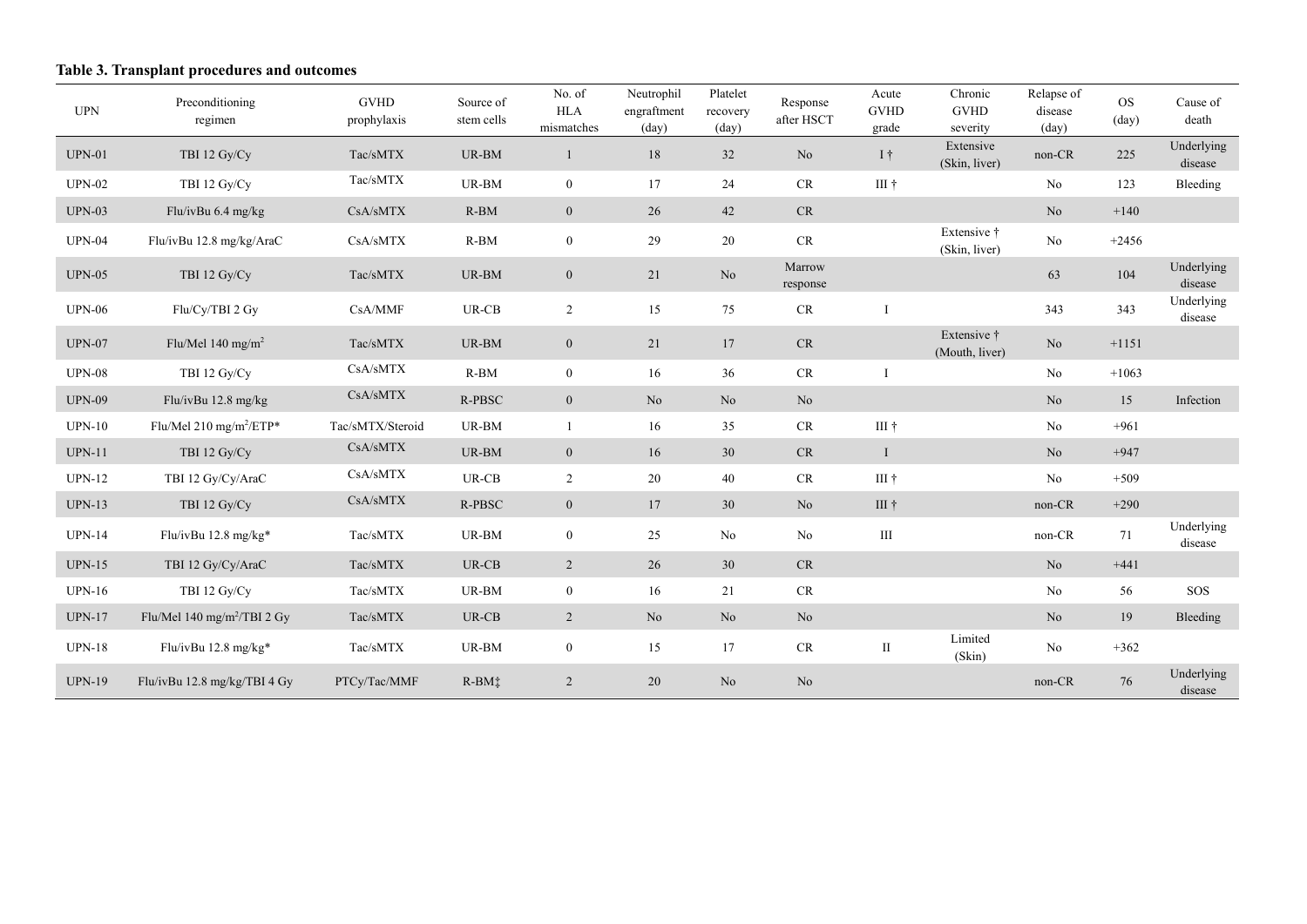# **Table 3. Transplant procedures and outcomes**

| <b>UPN</b>    | Preconditioning<br>regimen              | <b>GVHD</b><br>prophylaxis    | Source of<br>stem cells | No. of<br><b>HLA</b><br>mismatches | Neutrophil<br>engraftment<br>$\text{(day)}$ | Platelet<br>recovery<br>$\text{(day)}$ | Response<br>after HSCT     | Acute<br><b>GVHD</b><br>grade | Chronic<br><b>GVHD</b><br>severity | Relapse of<br>disease<br>(day) | <b>OS</b><br>$\text{(day)}$ | Cause of<br>death     |
|---------------|-----------------------------------------|-------------------------------|-------------------------|------------------------------------|---------------------------------------------|----------------------------------------|----------------------------|-------------------------------|------------------------------------|--------------------------------|-----------------------------|-----------------------|
| $UPN-01$      | TBI 12 Gy/Cy                            | Tac/sMTX                      | UR-BM                   | 1                                  | 18                                          | 32                                     | No                         | $I \dagger$                   | Extensive<br>(Skin, liver)         | non-CR                         | 225                         | Underlying<br>disease |
| <b>UPN-02</b> | TBI 12 Gy/Cy                            | Tac/sMTX                      | UR-BM                   | $\overline{0}$                     | 17                                          | 24                                     | CR                         | III †                         |                                    | N <sub>o</sub>                 | 123                         | Bleeding              |
| <b>UPN-03</b> | Flu/ivBu 6.4 mg/kg                      | CsA/sMTX                      | $R-BM$                  | $\overline{0}$                     | 26                                          | 42                                     | CR                         |                               |                                    | No                             | $+140$                      |                       |
| <b>UPN-04</b> | Flu/ivBu 12.8 mg/kg/AraC                | CsA/sMTX                      | $R-BM$                  | $\mathbf{0}$                       | 29                                          | 20                                     | $\ensuremath{\mathsf{CR}}$ |                               | Extensive †<br>(Skin, liver)       | N <sub>o</sub>                 | $+2456$                     |                       |
| <b>UPN-05</b> | TBI 12 Gy/Cy                            | Tac/sMTX                      | UR-BM                   | $\overline{0}$                     | 21                                          | No.                                    | Marrow<br>response         |                               |                                    | 63                             | 104                         | Underlying<br>disease |
| <b>UPN-06</b> | Flu/Cy/TBI 2 Gy                         | CsA/MMF                       | $UR-CB$                 | $\overline{2}$                     | 15                                          | 75                                     | $\ensuremath{\mathsf{CR}}$ |                               |                                    | 343                            | 343                         | Underlying<br>disease |
| <b>UPN-07</b> | Flu/Mel 140 mg/m <sup>2</sup>           | $\mathrm{Tac/s} \mathrm{MTX}$ | UR-BM                   | $\mathbf{0}$                       | 21                                          | 17                                     | CR                         |                               | Extensive †<br>(Mouth, liver)      | No                             | $+1151$                     |                       |
| <b>UPN-08</b> | TBI 12 Gy/Cy                            | CsA/sMTX                      | $R-BM$                  | $\mathbf{0}$                       | 16                                          | 36                                     | CR                         |                               |                                    | No                             | $+1063$                     |                       |
| <b>UPN-09</b> | Flu/ivBu 12.8 mg/kg                     | $\mathrm{CsA/sMTX}$           | $R-PBSC$                | $\mathbf{0}$                       | $\rm No$                                    | No                                     | No                         |                               |                                    | No                             | 15                          | Infection             |
| <b>UPN-10</b> | Flu/Mel 210 mg/m <sup>2</sup> /ETP*     | Tac/sMTX/Steroid              | UR-BM                   | $\overline{1}$                     | 16                                          | 35                                     | CR                         | III †                         |                                    | No                             | $+961$                      |                       |
| $UPN-11$      | TBI 12 Gy/Cy                            | CsA/sMTX                      | UR-BM                   | $\mathbf{0}$                       | 16                                          | 30                                     | CR                         | $\mathbf I$                   |                                    | No                             | $+947$                      |                       |
| <b>UPN-12</b> | TBI 12 Gy/Cy/AraC                       | CsA/sMTX                      | $UR-CB$                 | $\overline{c}$                     | $20\,$                                      | 40                                     | CR                         | III †                         |                                    | N <sub>o</sub>                 | $+509$                      |                       |
| <b>UPN-13</b> | TBI 12 Gy/Cy                            | $\mathrm{CsA/s} \mathrm{MTX}$ | $R-PBSC$                | $\mathbf{0}$                       | 17                                          | 30                                     | No                         | III †                         |                                    | non-CR                         | $+290$                      |                       |
| <b>UPN-14</b> | Flu/ivBu $12.8$ mg/kg*                  | Tac/sMTX                      | UR-BM                   | $\mathbf{0}$                       | 25                                          | No                                     | No                         | $\rm III$                     |                                    | non-CR                         | 71                          | Underlying<br>disease |
| $UPN-15$      | TBI 12 Gy/Cy/AraC                       | Tac/sMTX                      | $UR-CB$                 | $\overline{2}$                     | 26                                          | 30                                     | CR                         |                               |                                    | N <sub>o</sub>                 | $+441$                      |                       |
| $UPN-16$      | TBI 12 Gy/Cy                            | Tac/sMTX                      | UR-BM                   | $\mathbf{0}$                       | 16                                          | 21                                     | CR                         |                               |                                    | N <sub>o</sub>                 | 56                          | <b>SOS</b>            |
| <b>UPN-17</b> | Flu/Mel 140 mg/m <sup>2</sup> /TBI 2 Gy | Tac/sMTX                      | $UR-CB$                 | $\overline{2}$                     | No                                          | N <sub>o</sub>                         | No                         |                               |                                    | N <sub>o</sub>                 | 19                          | Bleeding              |
| <b>UPN-18</b> | Flu/ivBu 12.8 mg/kg*                    | Tac/sMTX                      | UR-BM                   | $\overline{0}$                     | 15                                          | 17                                     | CR                         | $\rm{II}$                     | Limited<br>(Skin)                  | N <sub>o</sub>                 | $+362$                      |                       |
| <b>UPN-19</b> | Flu/ivBu $12.8$ mg/kg/TBI 4 Gy          | PTCy/Tac/MMF                  | R-BMi                   | $\overline{2}$                     | 20                                          | No                                     | No                         |                               |                                    | non-CR                         | 76                          | Underlying<br>disease |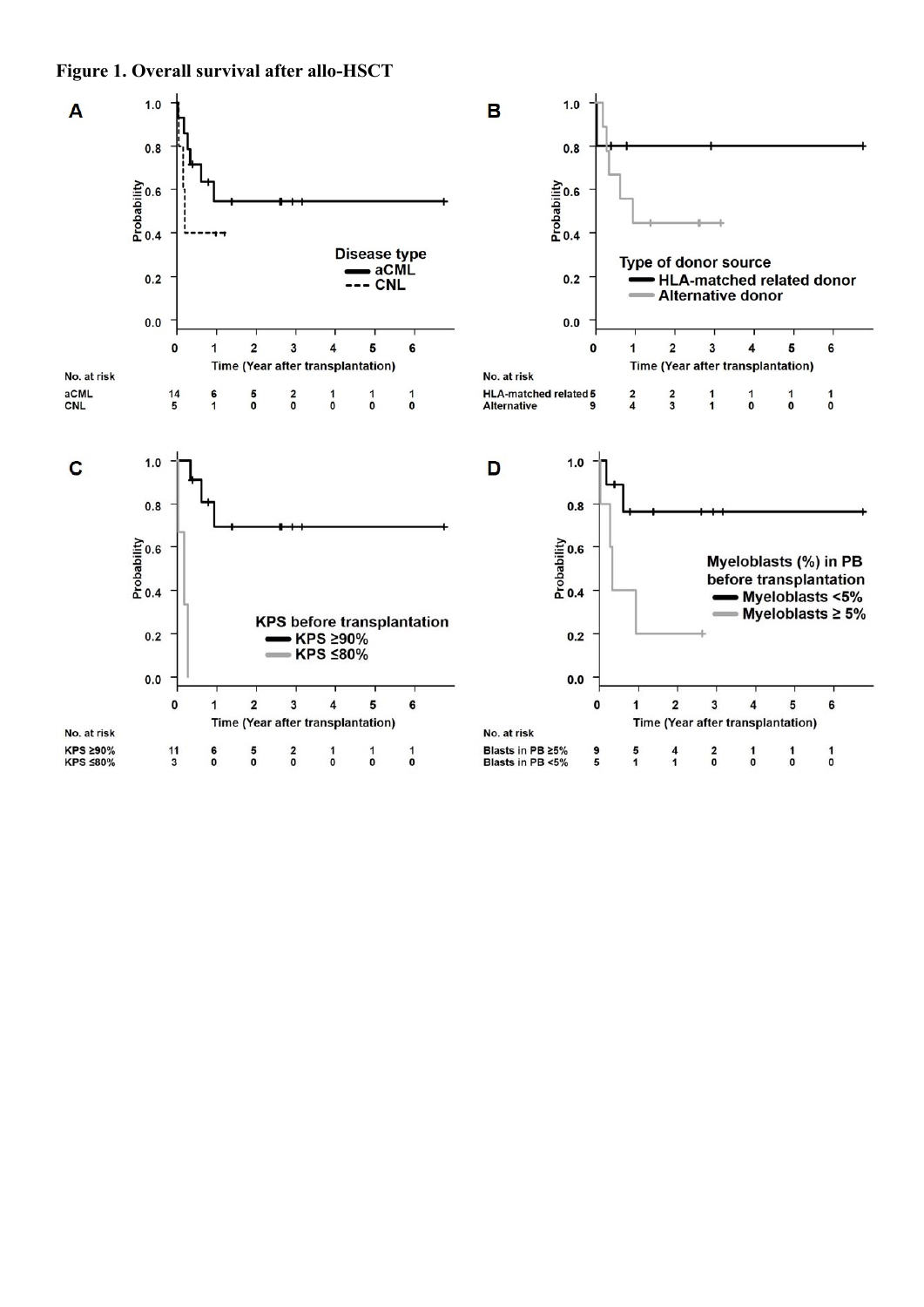**Figure 1. Overall survival after allo-HSCT**